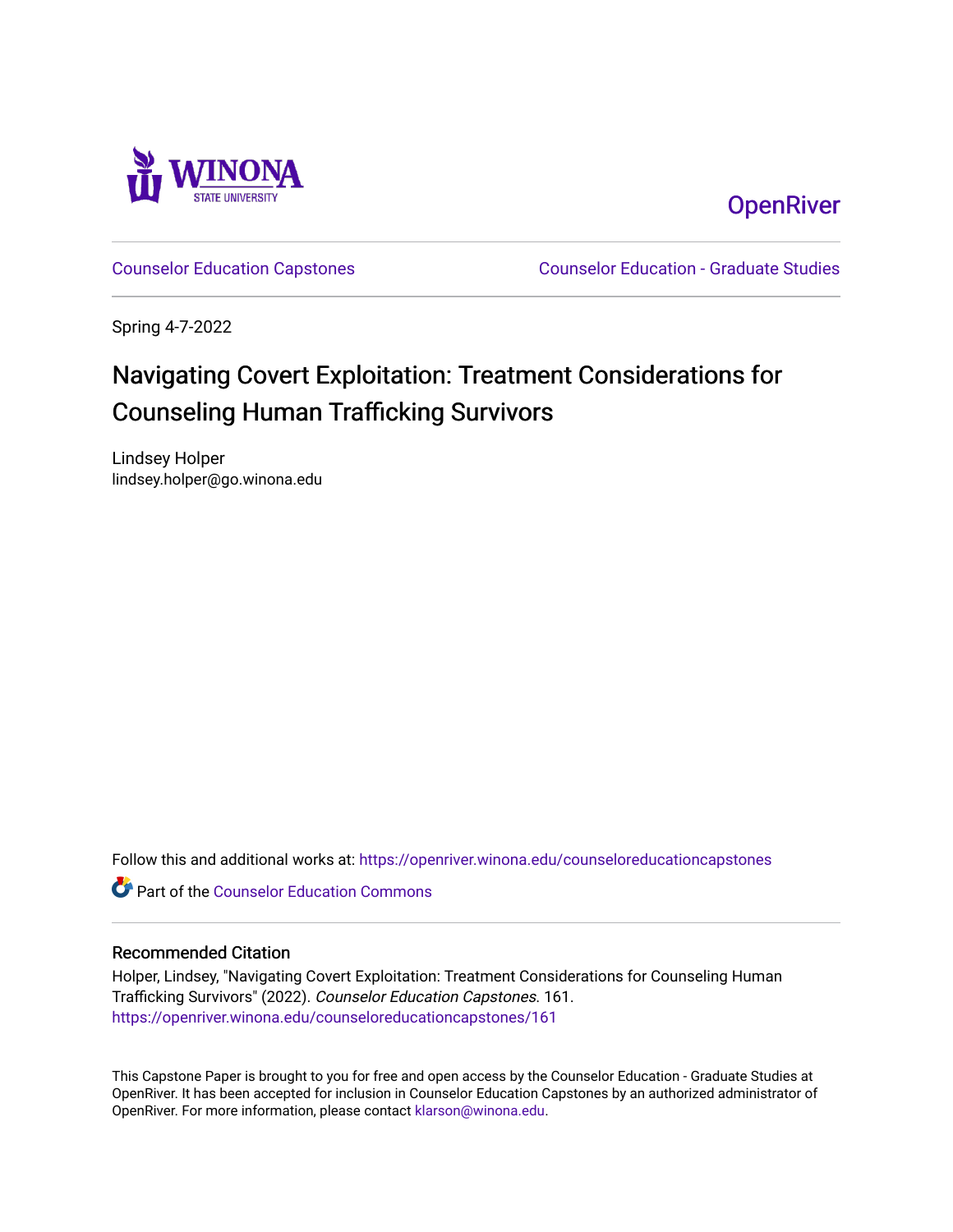

**OpenRiver** 

[Counselor Education Capstones](https://openriver.winona.edu/counseloreducationcapstones) [Counselor Education - Graduate Studies](https://openriver.winona.edu/counseloreducation) 

Spring 4-7-2022

## Navigating Covert Exploitation: Treatment Considerations for Counseling Human Trafficking Survivors

Lindsey Holper lindsey.holper@go.winona.edu

Follow this and additional works at: [https://openriver.winona.edu/counseloreducationcapstones](https://openriver.winona.edu/counseloreducationcapstones?utm_source=openriver.winona.edu%2Fcounseloreducationcapstones%2F161&utm_medium=PDF&utm_campaign=PDFCoverPages)

**C** Part of the Counselor Education Commons

#### Recommended Citation

Holper, Lindsey, "Navigating Covert Exploitation: Treatment Considerations for Counseling Human Trafficking Survivors" (2022). Counselor Education Capstones. 161. [https://openriver.winona.edu/counseloreducationcapstones/161](https://openriver.winona.edu/counseloreducationcapstones/161?utm_source=openriver.winona.edu%2Fcounseloreducationcapstones%2F161&utm_medium=PDF&utm_campaign=PDFCoverPages)

This Capstone Paper is brought to you for free and open access by the Counselor Education - Graduate Studies at OpenRiver. It has been accepted for inclusion in Counselor Education Capstones by an authorized administrator of OpenRiver. For more information, please contact [klarson@winona.edu](mailto:klarson@winona.edu).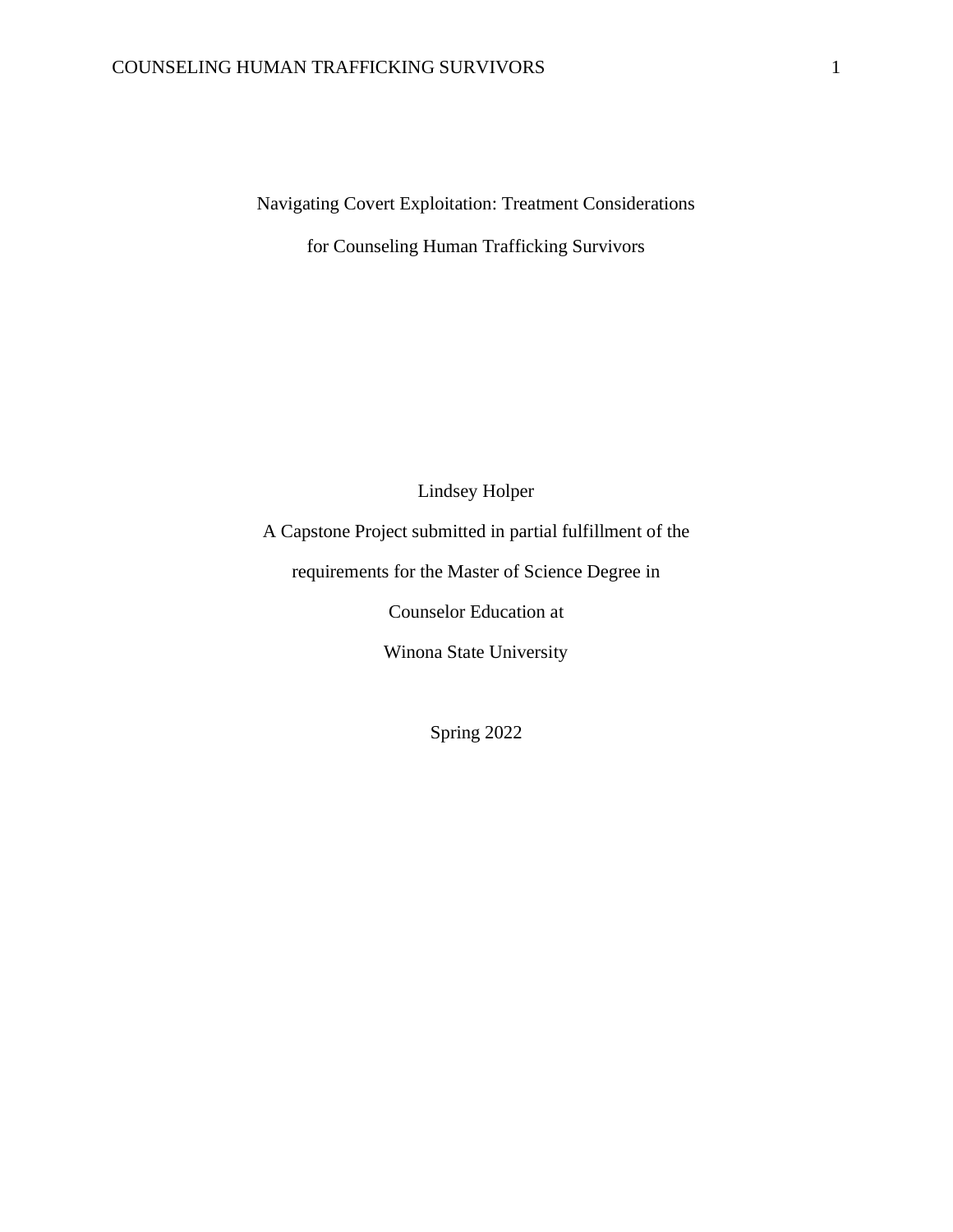Navigating Covert Exploitation: Treatment Considerations

for Counseling Human Trafficking Survivors

Lindsey Holper

A Capstone Project submitted in partial fulfillment of the

requirements for the Master of Science Degree in

Counselor Education at

Winona State University

Spring 2022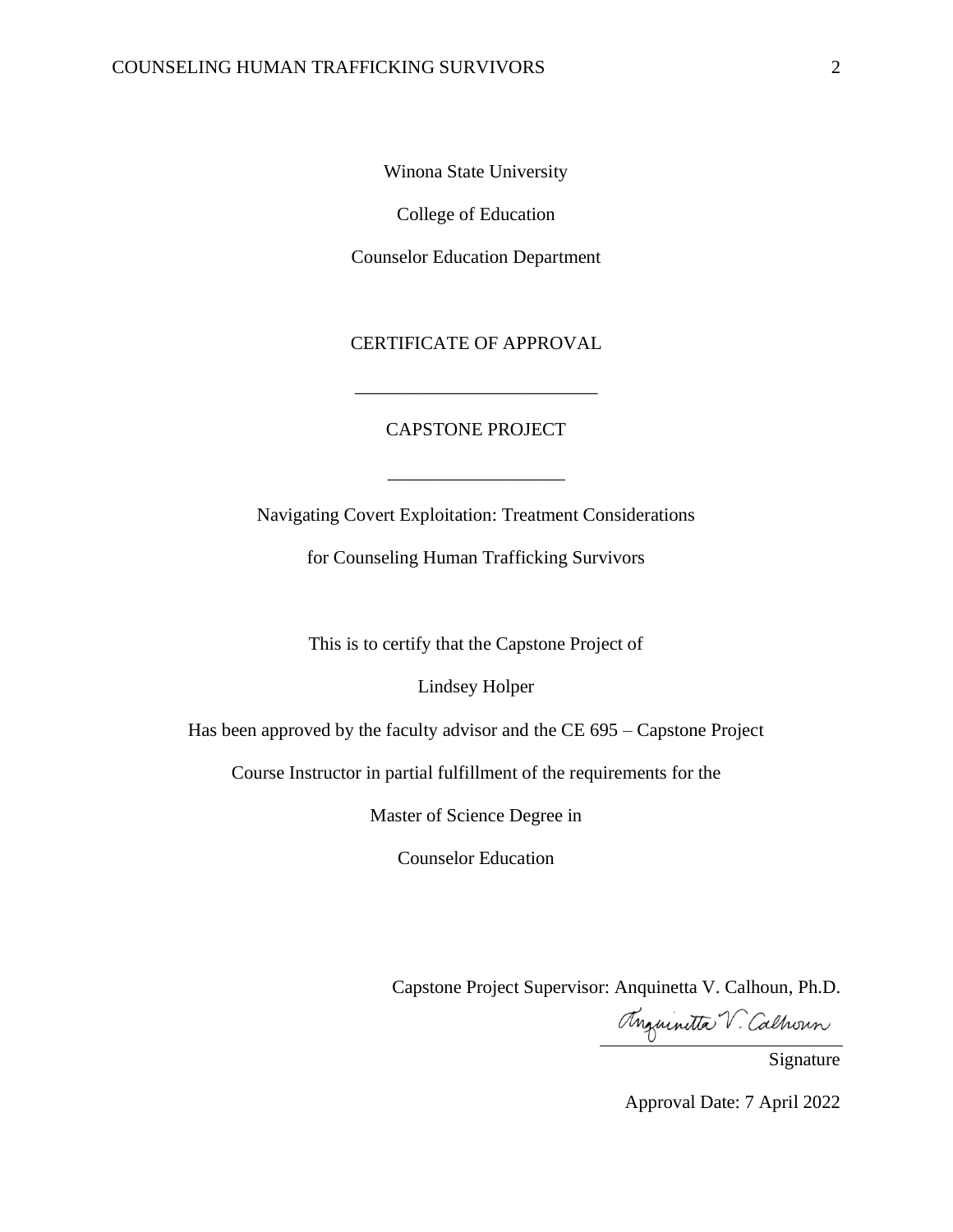Winona State University

College of Education

Counselor Education Department

CERTIFICATE OF APPROVAL

\_\_\_\_\_\_\_\_\_\_\_\_\_\_\_\_\_\_\_\_\_\_\_\_\_\_

#### CAPSTONE PROJECT

\_\_\_\_\_\_\_\_\_\_\_\_\_\_\_\_\_\_\_

Navigating Covert Exploitation: Treatment Considerations

for Counseling Human Trafficking Survivors

This is to certify that the Capstone Project of

Lindsey Holper

Has been approved by the faculty advisor and the CE 695 – Capstone Project

Course Instructor in partial fulfillment of the requirements for the

Master of Science Degree in

Counselor Education

Capstone Project Supervisor: Anquinetta V. Calhoun, Ph.D.

Anguinitta V. Calhoun

Signature

Approval Date: 7 April 2022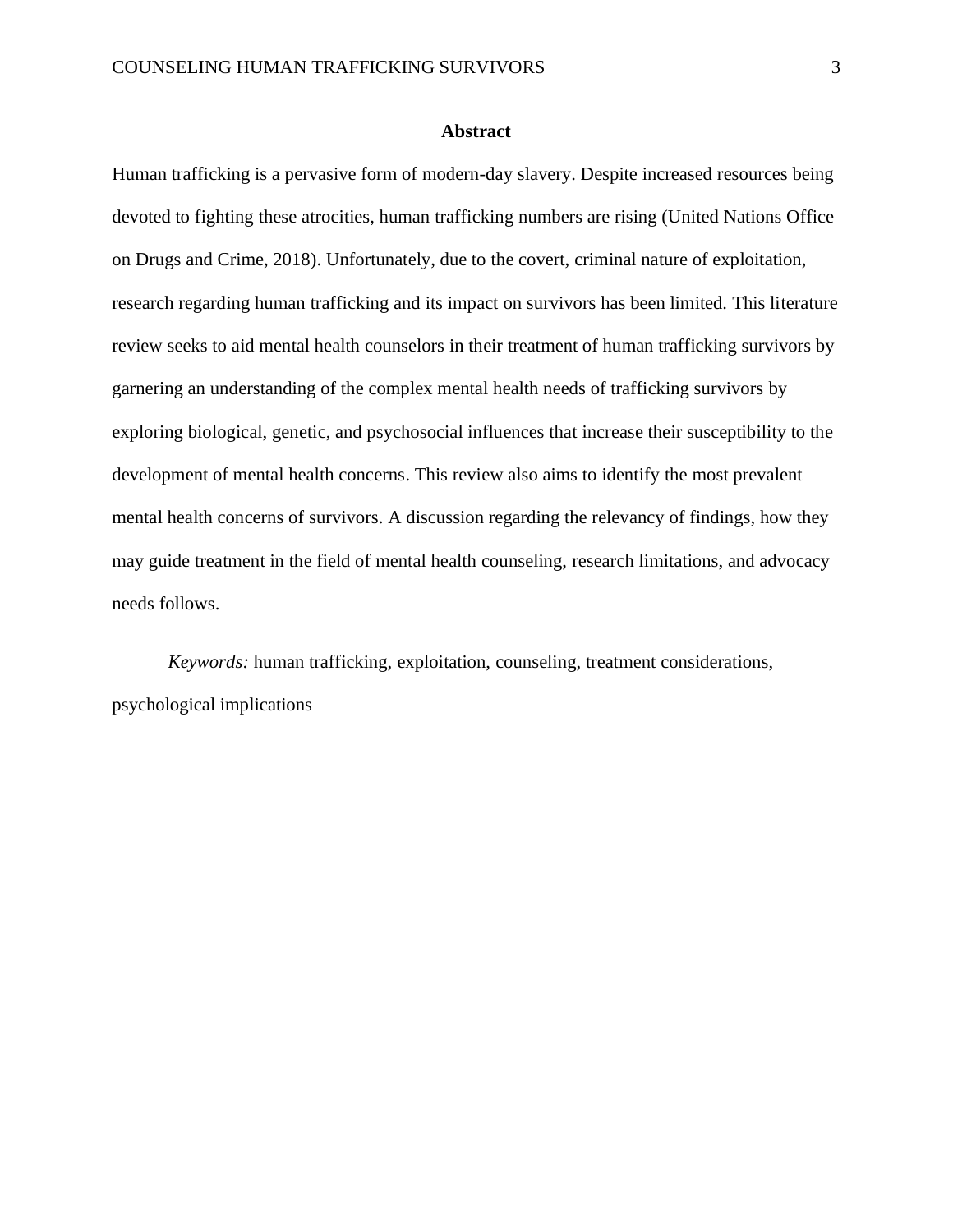#### **Abstract**

Human trafficking is a pervasive form of modern-day slavery. Despite increased resources being devoted to fighting these atrocities, human trafficking numbers are rising (United Nations Office on Drugs and Crime, 2018). Unfortunately, due to the covert, criminal nature of exploitation, research regarding human trafficking and its impact on survivors has been limited. This literature review seeks to aid mental health counselors in their treatment of human trafficking survivors by garnering an understanding of the complex mental health needs of trafficking survivors by exploring biological, genetic, and psychosocial influences that increase their susceptibility to the development of mental health concerns. This review also aims to identify the most prevalent mental health concerns of survivors. A discussion regarding the relevancy of findings, how they may guide treatment in the field of mental health counseling, research limitations, and advocacy needs follows.

*Keywords:* human trafficking, exploitation, counseling, treatment considerations, psychological implications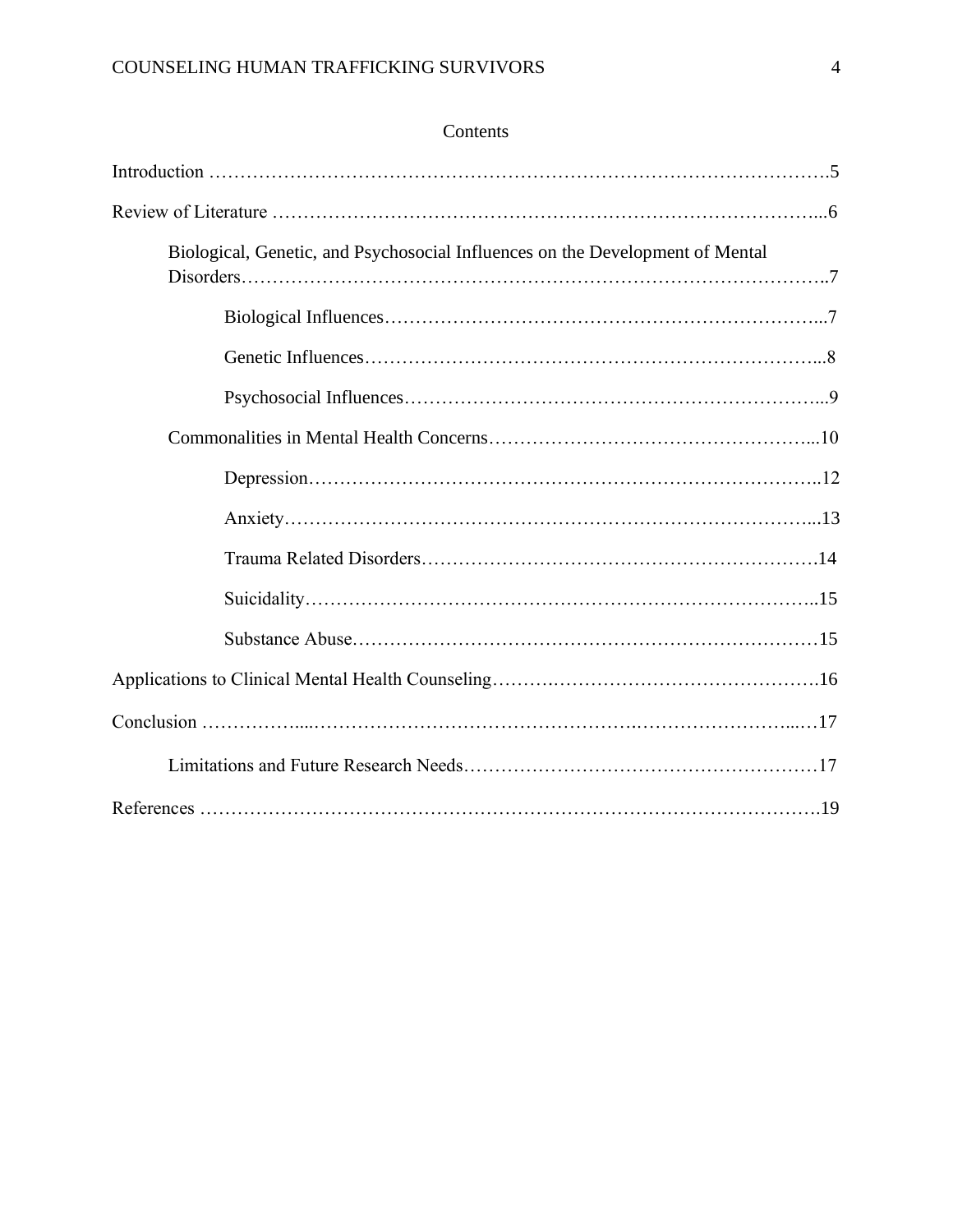### Contents

| Biological, Genetic, and Psychosocial Influences on the Development of Mental |
|-------------------------------------------------------------------------------|
|                                                                               |
|                                                                               |
|                                                                               |
|                                                                               |
|                                                                               |
|                                                                               |
|                                                                               |
|                                                                               |
|                                                                               |
|                                                                               |
|                                                                               |
|                                                                               |
|                                                                               |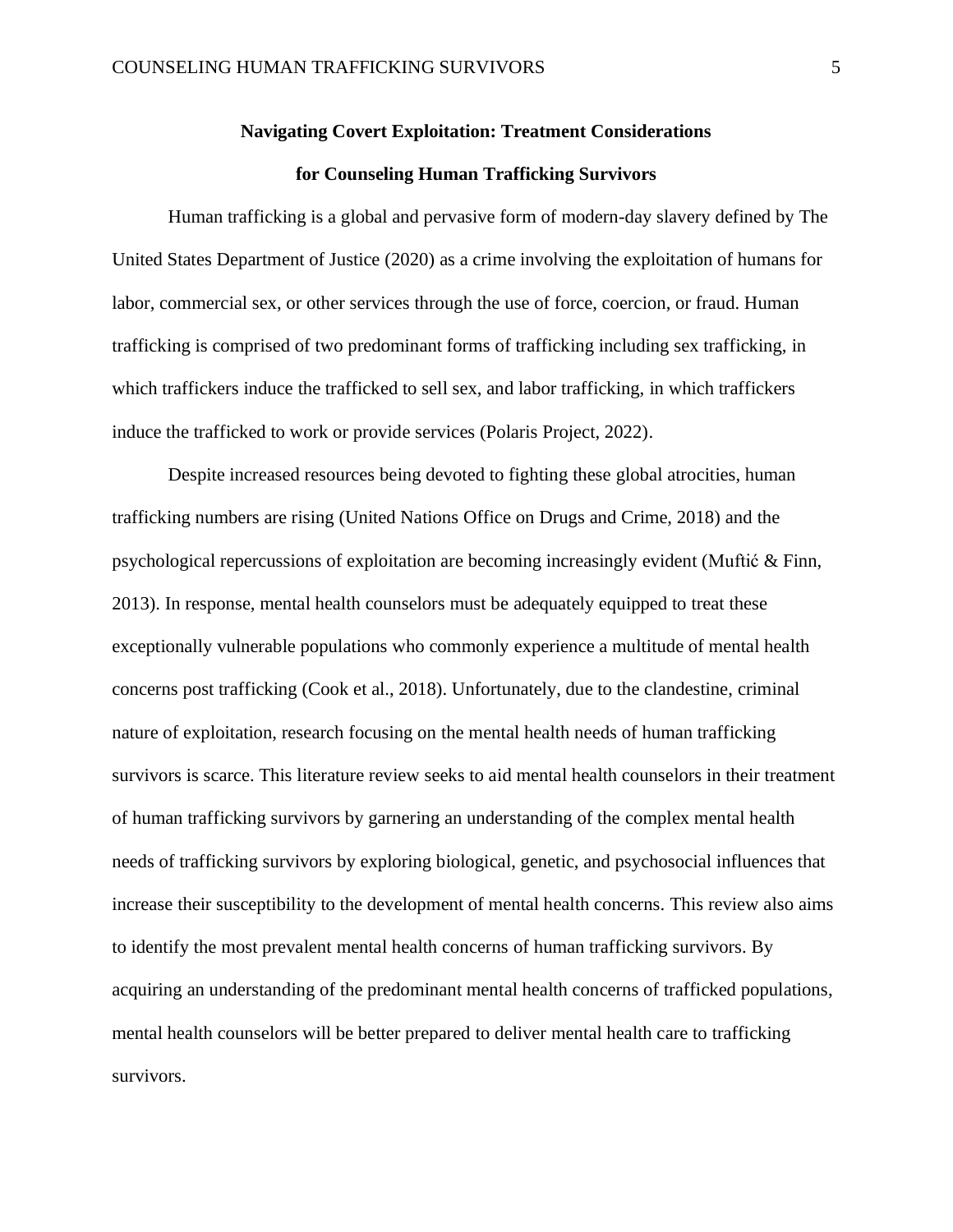# **Navigating Covert Exploitation: Treatment Considerations**

#### **for Counseling Human Trafficking Survivors**

Human trafficking is a global and pervasive form of modern-day slavery defined by The United States Department of Justice (2020) as a crime involving the exploitation of humans for labor, commercial sex, or other services through the use of force, coercion, or fraud. Human trafficking is comprised of two predominant forms of trafficking including sex trafficking, in which traffickers induce the trafficked to sell sex, and labor trafficking, in which traffickers induce the trafficked to work or provide services (Polaris Project, 2022).

Despite increased resources being devoted to fighting these global atrocities, human trafficking numbers are rising (United Nations Office on Drugs and Crime, 2018) and the psychological repercussions of exploitation are becoming increasingly evident (Muftić & Finn, 2013). In response, mental health counselors must be adequately equipped to treat these exceptionally vulnerable populations who commonly experience a multitude of mental health concerns post trafficking (Cook et al., 2018). Unfortunately, due to the clandestine, criminal nature of exploitation, research focusing on the mental health needs of human trafficking survivors is scarce. This literature review seeks to aid mental health counselors in their treatment of human trafficking survivors by garnering an understanding of the complex mental health needs of trafficking survivors by exploring biological, genetic, and psychosocial influences that increase their susceptibility to the development of mental health concerns. This review also aims to identify the most prevalent mental health concerns of human trafficking survivors. By acquiring an understanding of the predominant mental health concerns of trafficked populations, mental health counselors will be better prepared to deliver mental health care to trafficking survivors.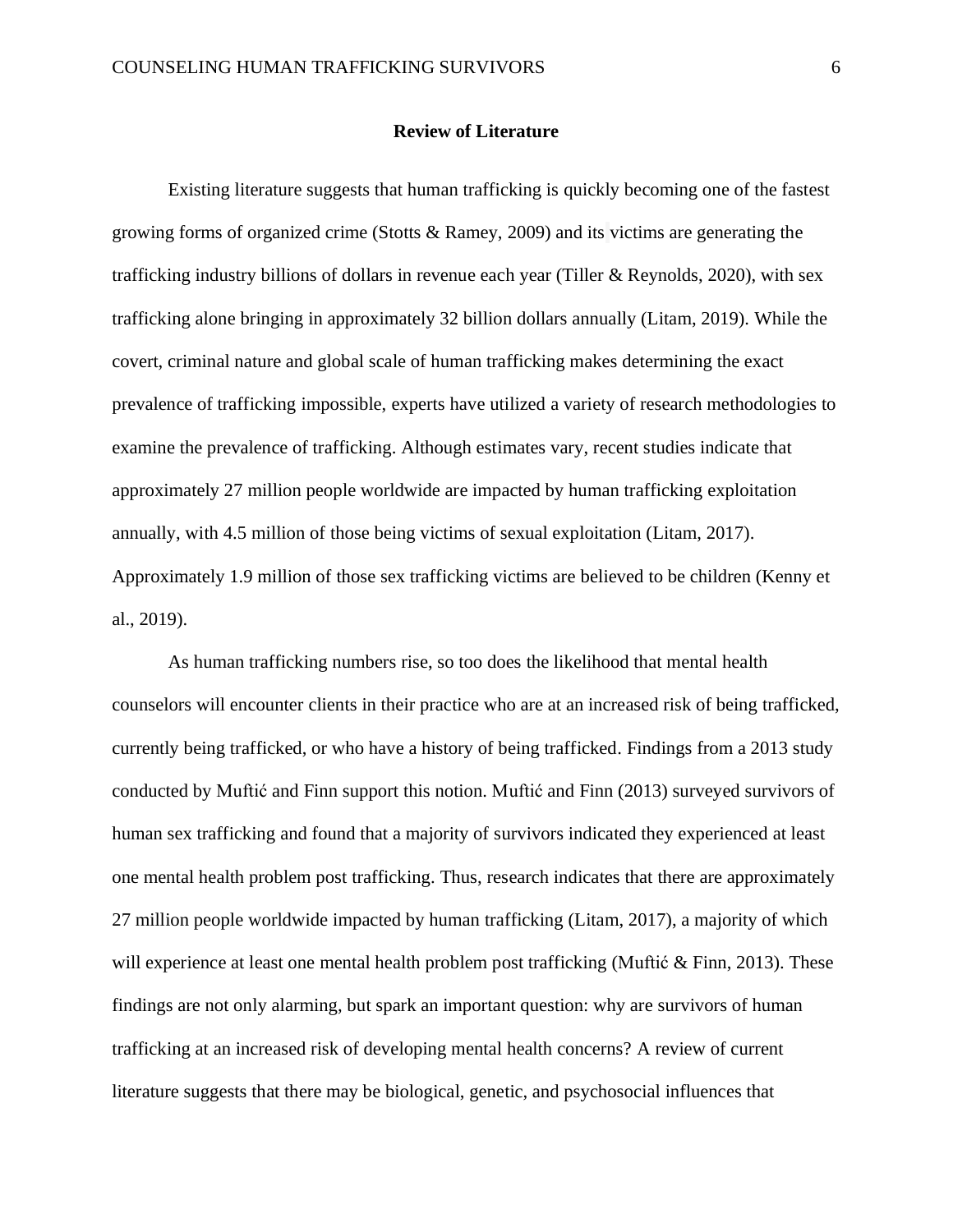#### **Review of Literature**

Existing literature suggests that human trafficking is quickly becoming one of the fastest growing forms of organized crime (Stotts & Ramey, 2009) and its victims are generating the trafficking industry billions of dollars in revenue each year (Tiller & Reynolds, 2020), with sex trafficking alone bringing in approximately 32 billion dollars annually (Litam, 2019). While the covert, criminal nature and global scale of human trafficking makes determining the exact prevalence of trafficking impossible, experts have utilized a variety of research methodologies to examine the prevalence of trafficking. Although estimates vary, recent studies indicate that approximately 27 million people worldwide are impacted by human trafficking exploitation annually, with 4.5 million of those being victims of sexual exploitation (Litam, 2017). Approximately 1.9 million of those sex trafficking victims are believed to be children (Kenny et al., 2019).

As human trafficking numbers rise, so too does the likelihood that mental health counselors will encounter clients in their practice who are at an increased risk of being trafficked, currently being trafficked, or who have a history of being trafficked. Findings from a 2013 study conducted by Muftić and Finn support this notion. Muftić and Finn (2013) surveyed survivors of human sex trafficking and found that a majority of survivors indicated they experienced at least one mental health problem post trafficking. Thus, research indicates that there are approximately 27 million people worldwide impacted by human trafficking (Litam, 2017), a majority of which will experience at least one mental health problem post trafficking (Muftić & Finn, 2013). These findings are not only alarming, but spark an important question: why are survivors of human trafficking at an increased risk of developing mental health concerns? A review of current literature suggests that there may be biological, genetic, and psychosocial influences that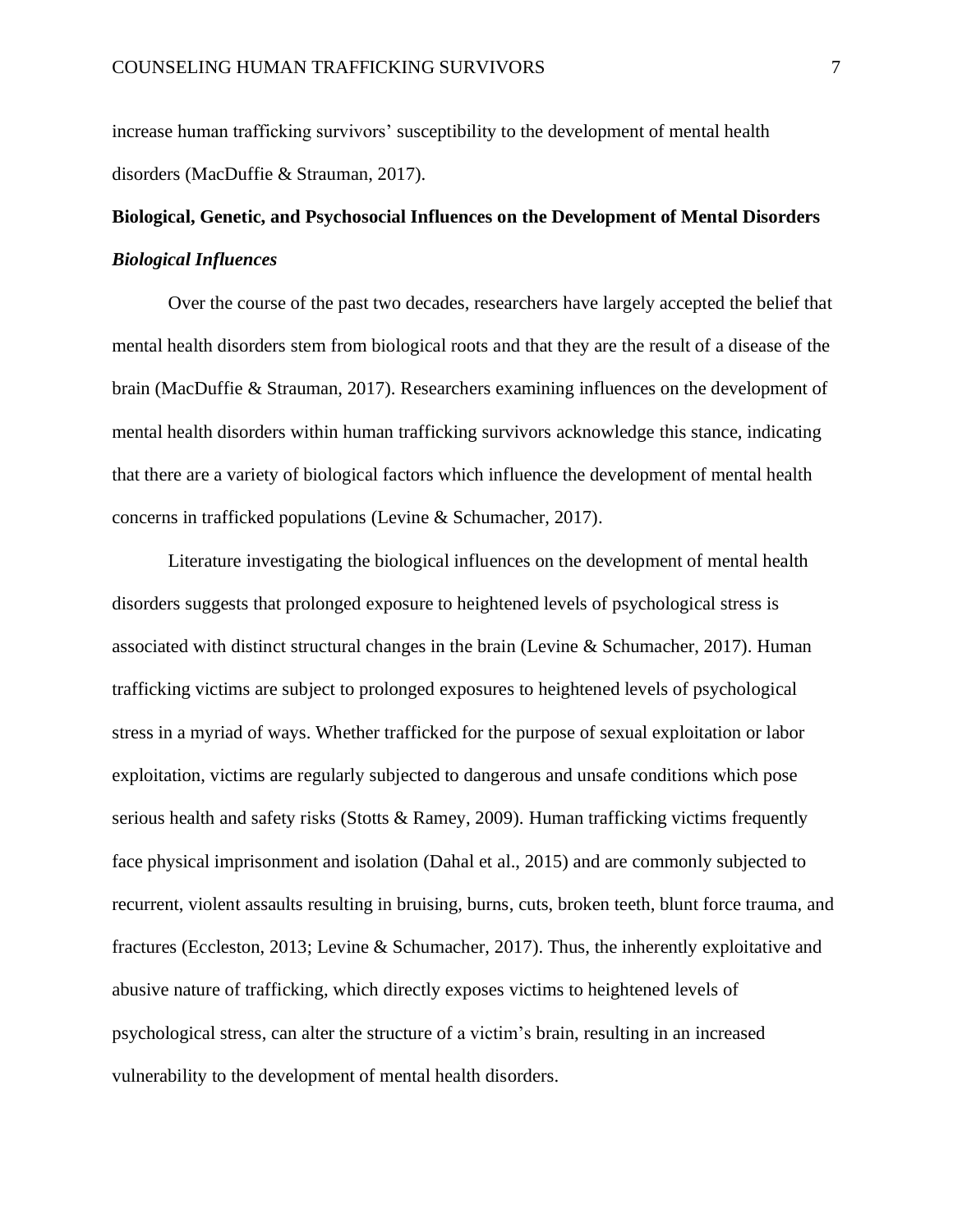increase human trafficking survivors' susceptibility to the development of mental health disorders (MacDuffie & Strauman, 2017).

## **Biological, Genetic, and Psychosocial Influences on the Development of Mental Disorders** *Biological Influences*

Over the course of the past two decades, researchers have largely accepted the belief that mental health disorders stem from biological roots and that they are the result of a disease of the brain (MacDuffie & Strauman, 2017). Researchers examining influences on the development of mental health disorders within human trafficking survivors acknowledge this stance, indicating that there are a variety of biological factors which influence the development of mental health concerns in trafficked populations (Levine & Schumacher, 2017).

Literature investigating the biological influences on the development of mental health disorders suggests that prolonged exposure to heightened levels of psychological stress is associated with distinct structural changes in the brain (Levine & Schumacher, 2017). Human trafficking victims are subject to prolonged exposures to heightened levels of psychological stress in a myriad of ways. Whether trafficked for the purpose of sexual exploitation or labor exploitation, victims are regularly subjected to dangerous and unsafe conditions which pose serious health and safety risks (Stotts  $\&$  Ramey, 2009). Human trafficking victims frequently face physical imprisonment and isolation (Dahal et al., 2015) and are commonly subjected to recurrent, violent assaults resulting in bruising, burns, cuts, broken teeth, blunt force trauma, and fractures (Eccleston, 2013; Levine & Schumacher, 2017). Thus, the inherently exploitative and abusive nature of trafficking, which directly exposes victims to heightened levels of psychological stress, can alter the structure of a victim's brain, resulting in an increased vulnerability to the development of mental health disorders.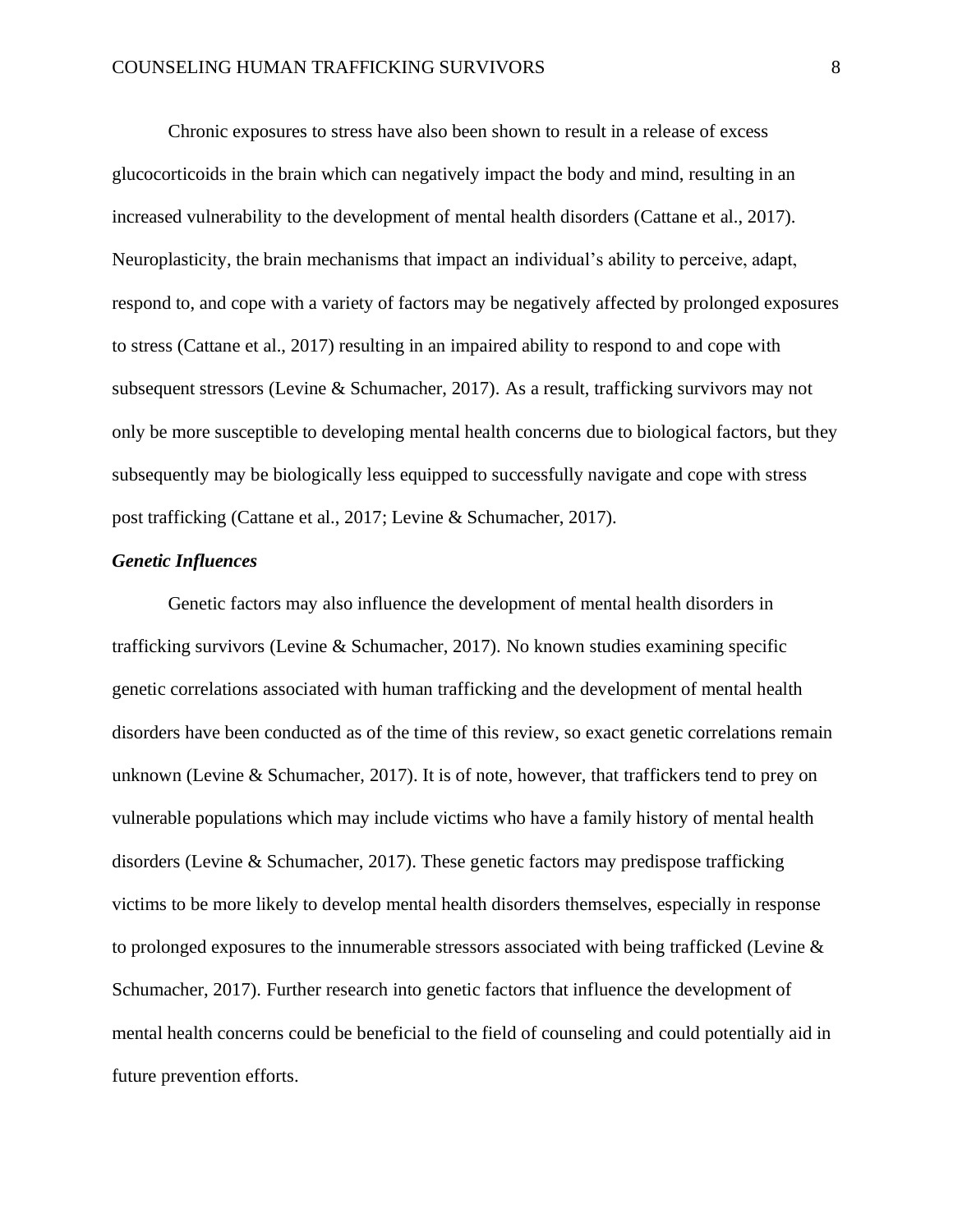Chronic exposures to stress have also been shown to result in a release of excess glucocorticoids in the brain which can negatively impact the body and mind, resulting in an increased vulnerability to the development of mental health disorders (Cattane et al., 2017). Neuroplasticity, the brain mechanisms that impact an individual's ability to perceive, adapt, respond to, and cope with a variety of factors may be negatively affected by prolonged exposures to stress (Cattane et al., 2017) resulting in an impaired ability to respond to and cope with subsequent stressors (Levine & Schumacher, 2017). As a result, trafficking survivors may not only be more susceptible to developing mental health concerns due to biological factors, but they subsequently may be biologically less equipped to successfully navigate and cope with stress post trafficking (Cattane et al., 2017; Levine & Schumacher, 2017).

#### *Genetic Influences*

Genetic factors may also influence the development of mental health disorders in trafficking survivors (Levine & Schumacher, 2017). No known studies examining specific genetic correlations associated with human trafficking and the development of mental health disorders have been conducted as of the time of this review, so exact genetic correlations remain unknown (Levine & Schumacher, 2017). It is of note, however, that traffickers tend to prey on vulnerable populations which may include victims who have a family history of mental health disorders (Levine & Schumacher, 2017). These genetic factors may predispose trafficking victims to be more likely to develop mental health disorders themselves, especially in response to prolonged exposures to the innumerable stressors associated with being trafficked (Levine & Schumacher, 2017). Further research into genetic factors that influence the development of mental health concerns could be beneficial to the field of counseling and could potentially aid in future prevention efforts.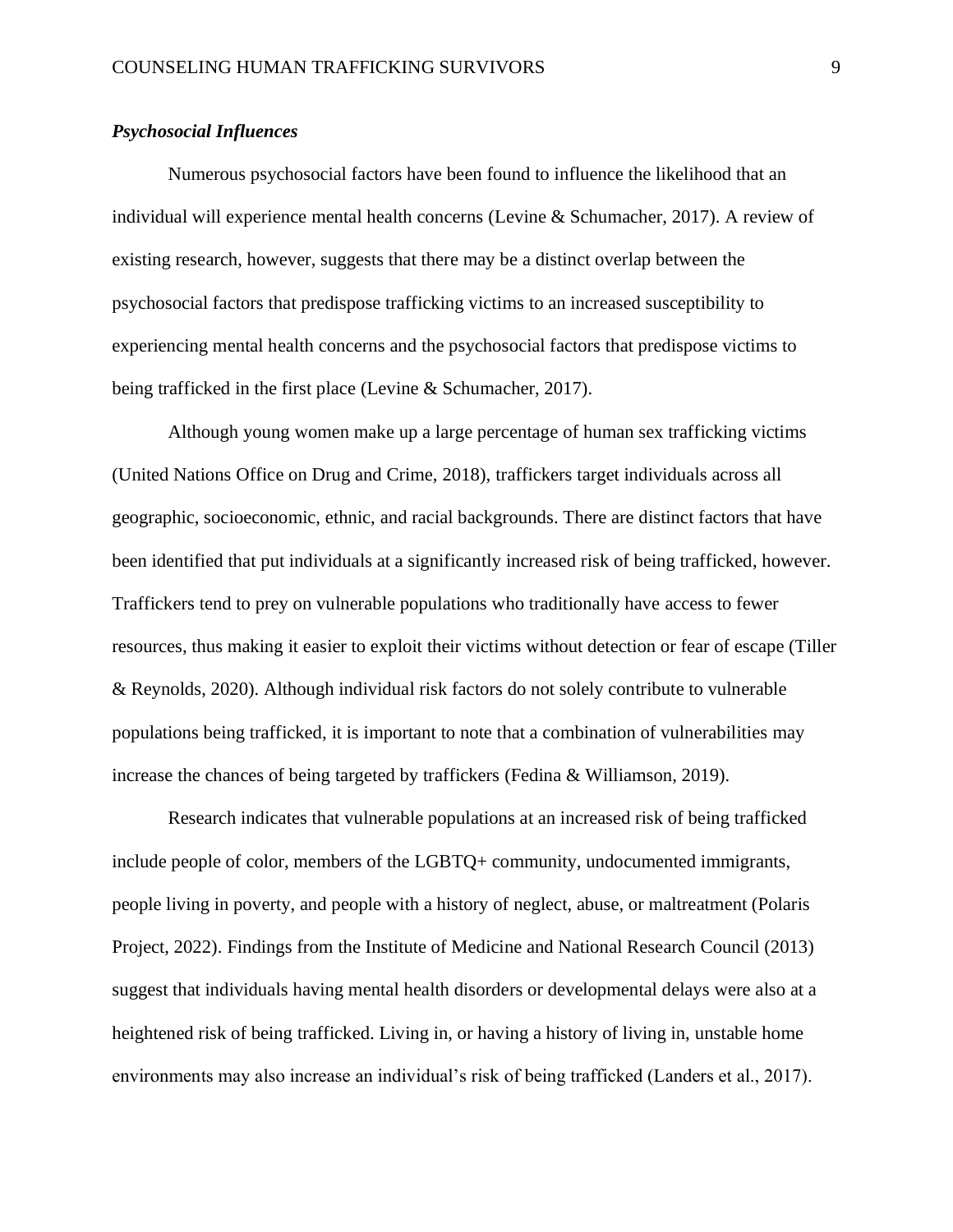#### *Psychosocial Influences*

Numerous psychosocial factors have been found to influence the likelihood that an individual will experience mental health concerns (Levine & Schumacher, 2017). A review of existing research, however, suggests that there may be a distinct overlap between the psychosocial factors that predispose trafficking victims to an increased susceptibility to experiencing mental health concerns and the psychosocial factors that predispose victims to being trafficked in the first place (Levine & Schumacher, 2017).

Although young women make up a large percentage of human sex trafficking victims (United Nations Office on Drug and Crime, 2018), traffickers target individuals across all geographic, socioeconomic, ethnic, and racial backgrounds. There are distinct factors that have been identified that put individuals at a significantly increased risk of being trafficked, however. Traffickers tend to prey on vulnerable populations who traditionally have access to fewer resources, thus making it easier to exploit their victims without detection or fear of escape (Tiller & Reynolds, 2020). Although individual risk factors do not solely contribute to vulnerable populations being trafficked, it is important to note that a combination of vulnerabilities may increase the chances of being targeted by traffickers (Fedina & Williamson, 2019).

Research indicates that vulnerable populations at an increased risk of being trafficked include people of color, members of the LGBTQ+ community, undocumented immigrants, people living in poverty, and people with a history of neglect, abuse, or maltreatment (Polaris Project, 2022). Findings from the Institute of Medicine and National Research Council (2013) suggest that individuals having mental health disorders or developmental delays were also at a heightened risk of being trafficked. Living in, or having a history of living in, unstable home environments may also increase an individual's risk of being trafficked (Landers et al., 2017).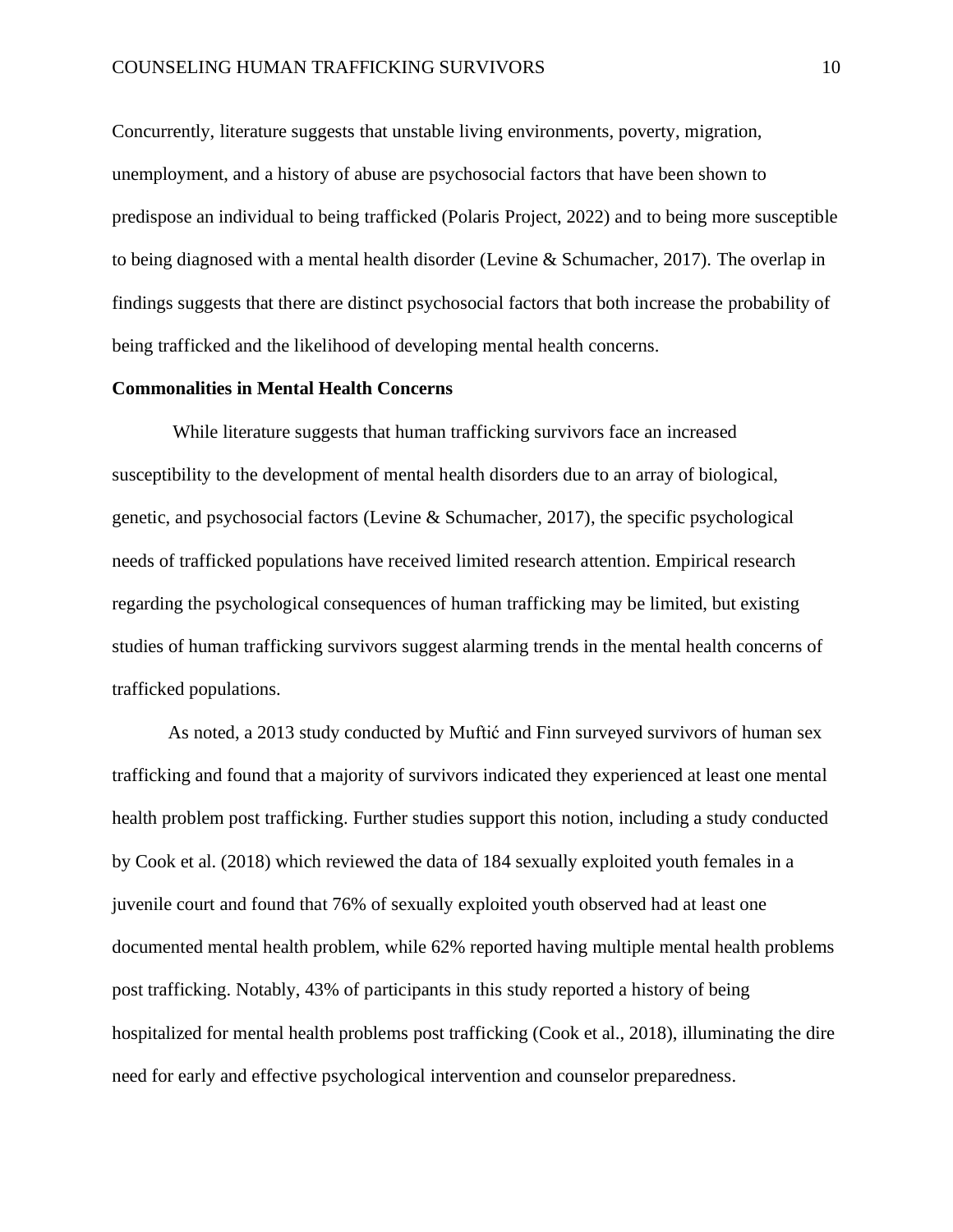Concurrently, literature suggests that unstable living environments, poverty, migration, unemployment, and a history of abuse are psychosocial factors that have been shown to predispose an individual to being trafficked (Polaris Project, 2022) and to being more susceptible to being diagnosed with a mental health disorder (Levine & Schumacher, 2017). The overlap in findings suggests that there are distinct psychosocial factors that both increase the probability of being trafficked and the likelihood of developing mental health concerns.

#### **Commonalities in Mental Health Concerns**

While literature suggests that human trafficking survivors face an increased susceptibility to the development of mental health disorders due to an array of biological, genetic, and psychosocial factors (Levine & Schumacher, 2017), the specific psychological needs of trafficked populations have received limited research attention. Empirical research regarding the psychological consequences of human trafficking may be limited, but existing studies of human trafficking survivors suggest alarming trends in the mental health concerns of trafficked populations.

As noted, a 2013 study conducted by Muftić and Finn surveyed survivors of human sex trafficking and found that a majority of survivors indicated they experienced at least one mental health problem post trafficking. Further studies support this notion, including a study conducted by Cook et al. (2018) which reviewed the data of 184 sexually exploited youth females in a juvenile court and found that 76% of sexually exploited youth observed had at least one documented mental health problem, while 62% reported having multiple mental health problems post trafficking. Notably, 43% of participants in this study reported a history of being hospitalized for mental health problems post trafficking (Cook et al., 2018), illuminating the dire need for early and effective psychological intervention and counselor preparedness.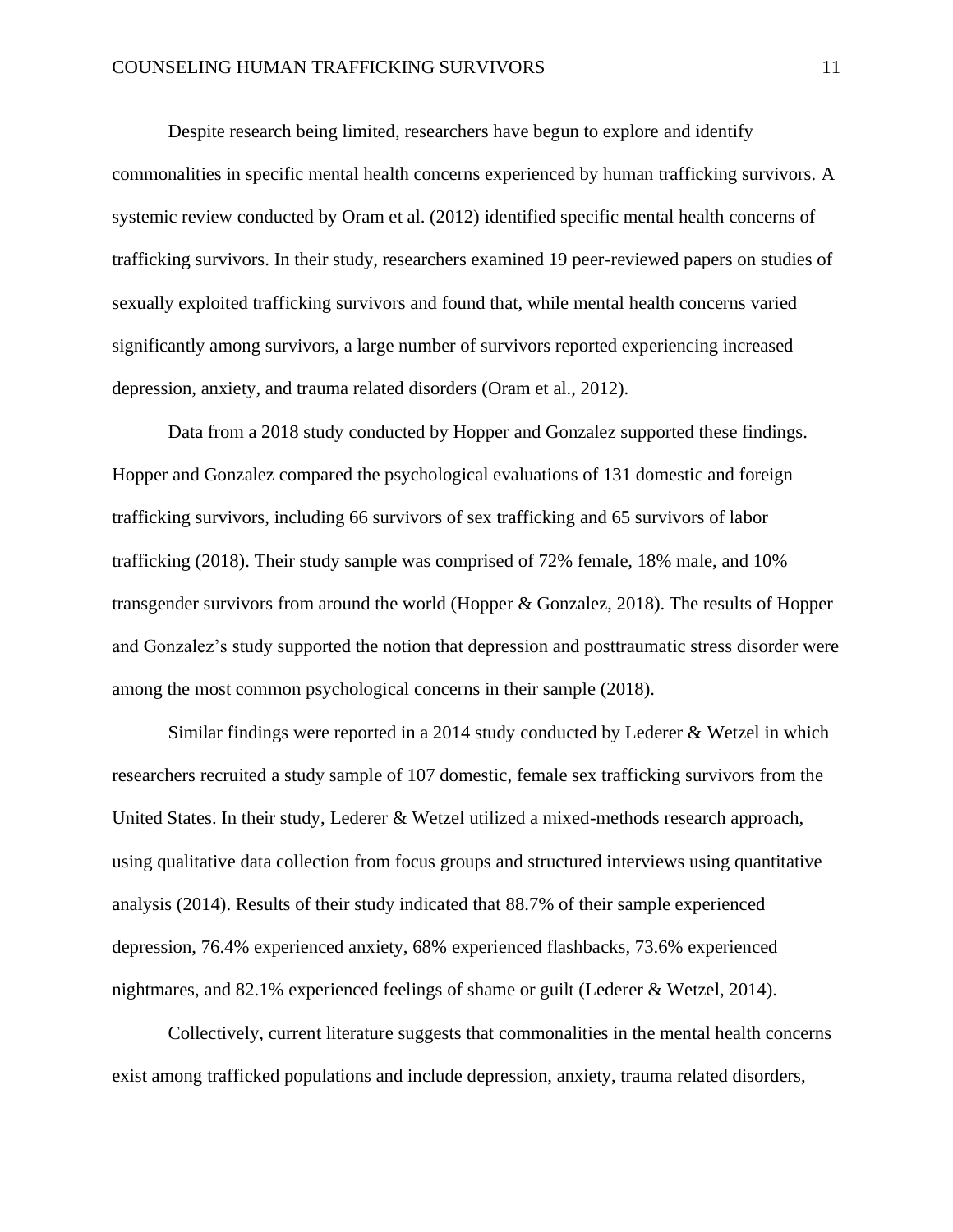Despite research being limited, researchers have begun to explore and identify commonalities in specific mental health concerns experienced by human trafficking survivors. A systemic review conducted by Oram et al. (2012) identified specific mental health concerns of trafficking survivors. In their study, researchers examined 19 peer-reviewed papers on studies of sexually exploited trafficking survivors and found that, while mental health concerns varied significantly among survivors, a large number of survivors reported experiencing increased depression, anxiety, and trauma related disorders (Oram et al., 2012).

Data from a 2018 study conducted by Hopper and Gonzalez supported these findings. Hopper and Gonzalez compared the psychological evaluations of 131 domestic and foreign trafficking survivors, including 66 survivors of sex trafficking and 65 survivors of labor trafficking (2018). Their study sample was comprised of 72% female, 18% male, and 10% transgender survivors from around the world (Hopper & Gonzalez, 2018). The results of Hopper and Gonzalez's study supported the notion that depression and posttraumatic stress disorder were among the most common psychological concerns in their sample (2018).

Similar findings were reported in a 2014 study conducted by Lederer & Wetzel in which researchers recruited a study sample of 107 domestic, female sex trafficking survivors from the United States. In their study, Lederer & Wetzel utilized a mixed-methods research approach, using qualitative data collection from focus groups and structured interviews using quantitative analysis (2014). Results of their study indicated that 88.7% of their sample experienced depression, 76.4% experienced anxiety, 68% experienced flashbacks, 73.6% experienced nightmares, and 82.1% experienced feelings of shame or guilt (Lederer & Wetzel, 2014).

Collectively, current literature suggests that commonalities in the mental health concerns exist among trafficked populations and include depression, anxiety, trauma related disorders,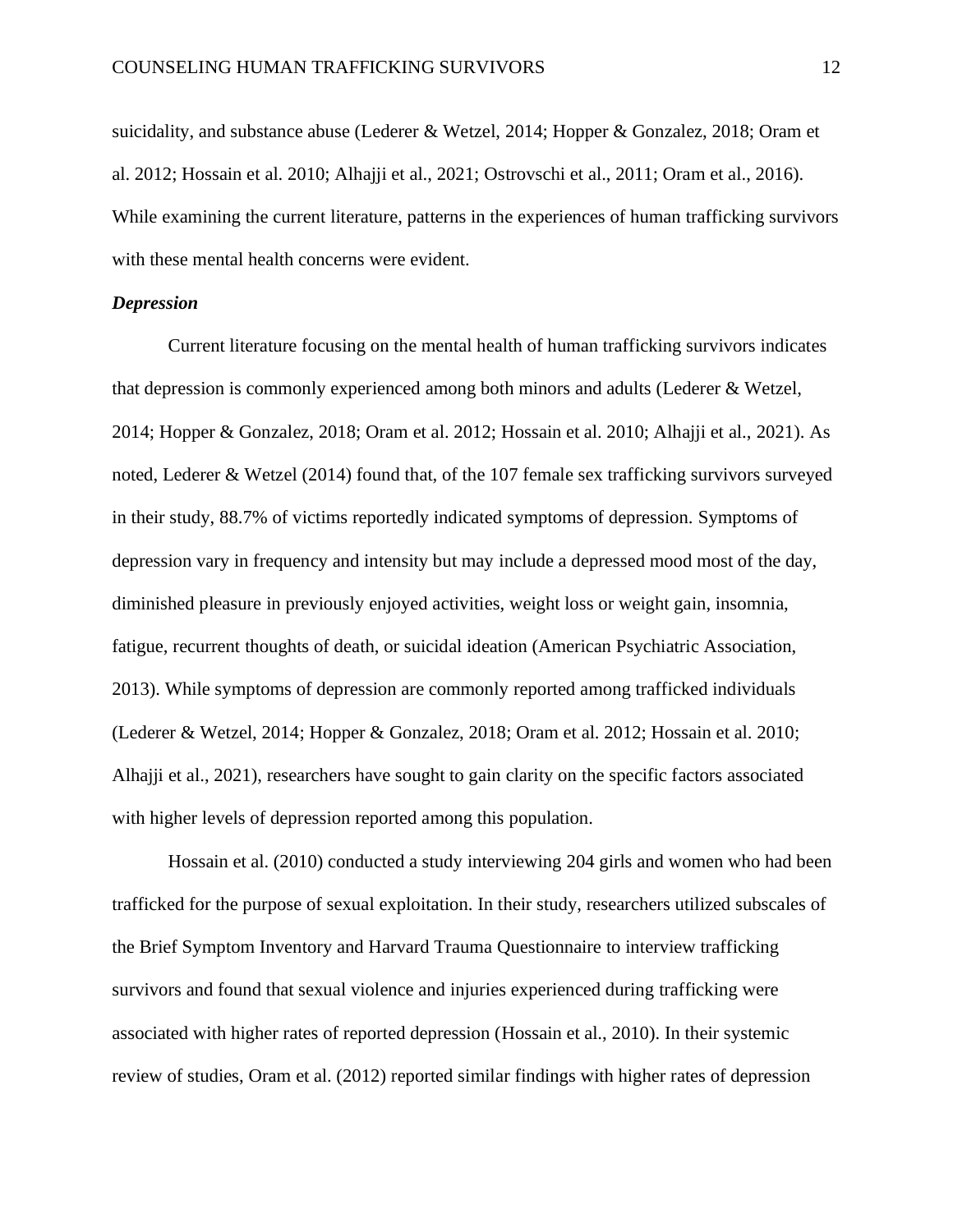suicidality, and substance abuse (Lederer & Wetzel, 2014; Hopper & Gonzalez, 2018; Oram et al. 2012; Hossain et al. 2010; Alhajji et al., 2021; Ostrovschi et al., 2011; Oram et al., 2016). While examining the current literature, patterns in the experiences of human trafficking survivors with these mental health concerns were evident.

#### *Depression*

Current literature focusing on the mental health of human trafficking survivors indicates that depression is commonly experienced among both minors and adults (Lederer & Wetzel, 2014; Hopper & Gonzalez, 2018; Oram et al. 2012; Hossain et al. 2010; Alhajji et al., 2021). As noted, Lederer & Wetzel (2014) found that, of the 107 female sex trafficking survivors surveyed in their study, 88.7% of victims reportedly indicated symptoms of depression. Symptoms of depression vary in frequency and intensity but may include a depressed mood most of the day, diminished pleasure in previously enjoyed activities, weight loss or weight gain, insomnia, fatigue, recurrent thoughts of death, or suicidal ideation (American Psychiatric Association, 2013). While symptoms of depression are commonly reported among trafficked individuals (Lederer & Wetzel, 2014; Hopper & Gonzalez, 2018; Oram et al. 2012; Hossain et al. 2010; Alhajji et al., 2021), researchers have sought to gain clarity on the specific factors associated with higher levels of depression reported among this population.

Hossain et al. (2010) conducted a study interviewing 204 girls and women who had been trafficked for the purpose of sexual exploitation. In their study, researchers utilized subscales of the Brief Symptom Inventory and Harvard Trauma Questionnaire to interview trafficking survivors and found that sexual violence and injuries experienced during trafficking were associated with higher rates of reported depression (Hossain et al., 2010). In their systemic review of studies, Oram et al. (2012) reported similar findings with higher rates of depression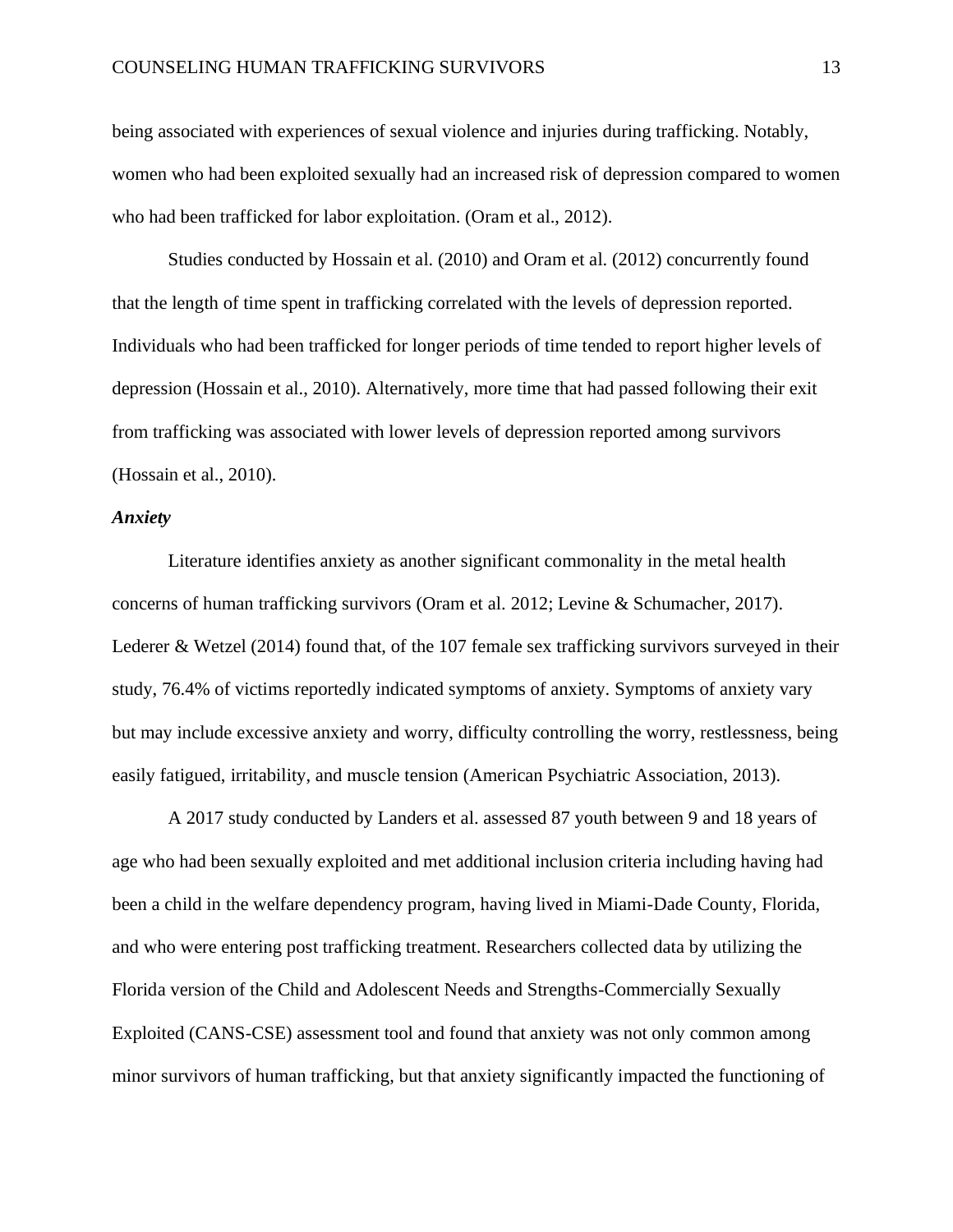being associated with experiences of sexual violence and injuries during trafficking. Notably, women who had been exploited sexually had an increased risk of depression compared to women who had been trafficked for labor exploitation. (Oram et al., 2012).

Studies conducted by Hossain et al. (2010) and Oram et al. (2012) concurrently found that the length of time spent in trafficking correlated with the levels of depression reported. Individuals who had been trafficked for longer periods of time tended to report higher levels of depression (Hossain et al., 2010). Alternatively, more time that had passed following their exit from trafficking was associated with lower levels of depression reported among survivors (Hossain et al., 2010).

#### *Anxiety*

Literature identifies anxiety as another significant commonality in the metal health concerns of human trafficking survivors (Oram et al. 2012; Levine & Schumacher, 2017). Lederer & Wetzel (2014) found that, of the 107 female sex trafficking survivors surveyed in their study, 76.4% of victims reportedly indicated symptoms of anxiety. Symptoms of anxiety vary but may include excessive anxiety and worry, difficulty controlling the worry, restlessness, being easily fatigued, irritability, and muscle tension (American Psychiatric Association, 2013).

A 2017 study conducted by Landers et al. assessed 87 youth between 9 and 18 years of age who had been sexually exploited and met additional inclusion criteria including having had been a child in the welfare dependency program, having lived in Miami-Dade County, Florida, and who were entering post trafficking treatment. Researchers collected data by utilizing the Florida version of the Child and Adolescent Needs and Strengths-Commercially Sexually Exploited (CANS-CSE) assessment tool and found that anxiety was not only common among minor survivors of human trafficking, but that anxiety significantly impacted the functioning of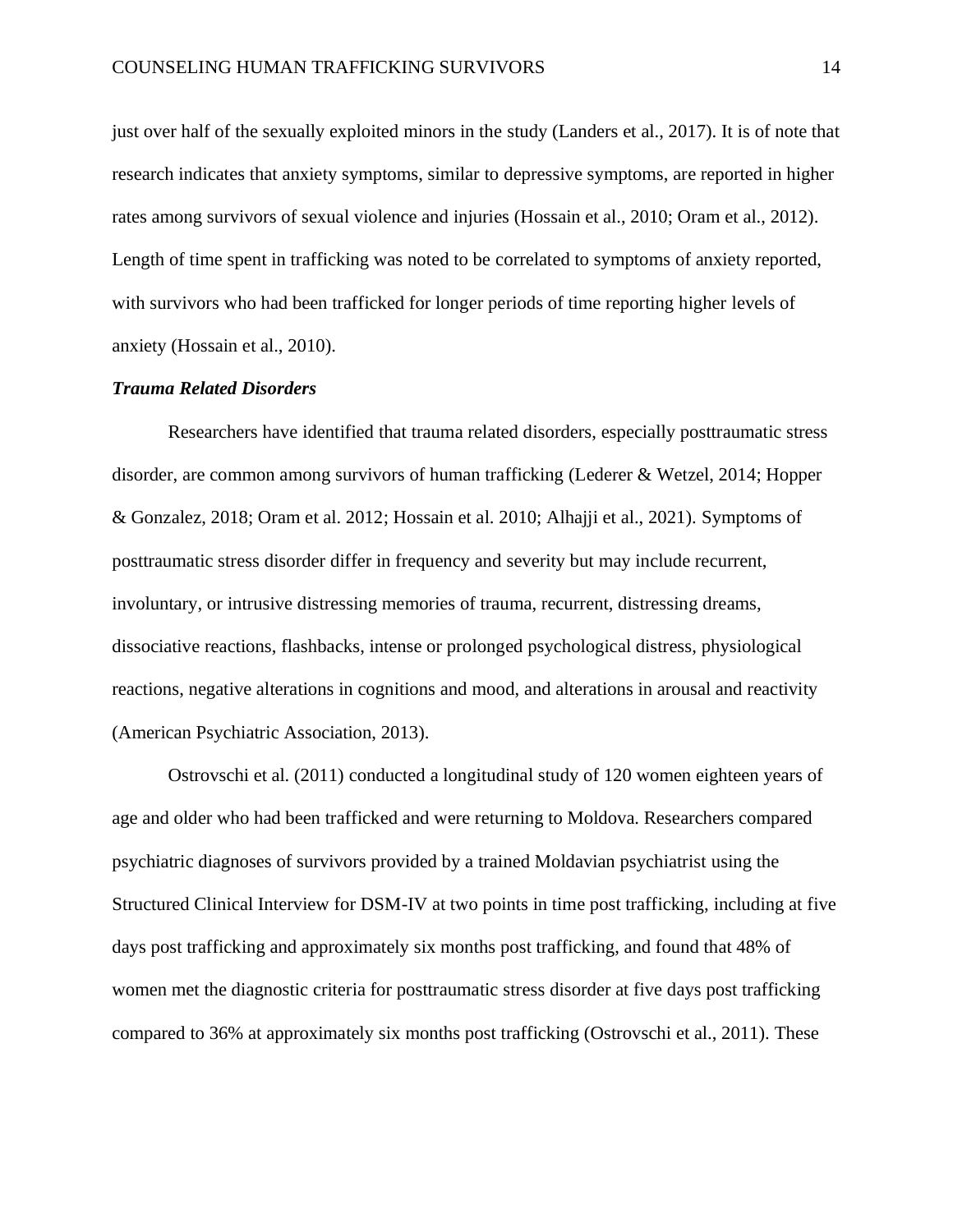just over half of the sexually exploited minors in the study (Landers et al., 2017). It is of note that research indicates that anxiety symptoms, similar to depressive symptoms, are reported in higher rates among survivors of sexual violence and injuries (Hossain et al., 2010; Oram et al., 2012). Length of time spent in trafficking was noted to be correlated to symptoms of anxiety reported, with survivors who had been trafficked for longer periods of time reporting higher levels of anxiety (Hossain et al., 2010).

#### *Trauma Related Disorders*

Researchers have identified that trauma related disorders, especially posttraumatic stress disorder, are common among survivors of human trafficking (Lederer & Wetzel, 2014; Hopper & Gonzalez, 2018; Oram et al. 2012; Hossain et al. 2010; Alhajji et al., 2021). Symptoms of posttraumatic stress disorder differ in frequency and severity but may include recurrent, involuntary, or intrusive distressing memories of trauma, recurrent, distressing dreams, dissociative reactions, flashbacks, intense or prolonged psychological distress, physiological reactions, negative alterations in cognitions and mood, and alterations in arousal and reactivity (American Psychiatric Association, 2013).

Ostrovschi et al. (2011) conducted a longitudinal study of 120 women eighteen years of age and older who had been trafficked and were returning to Moldova. Researchers compared psychiatric diagnoses of survivors provided by a trained Moldavian psychiatrist using the Structured Clinical Interview for DSM-IV at two points in time post trafficking, including at five days post trafficking and approximately six months post trafficking, and found that 48% of women met the diagnostic criteria for posttraumatic stress disorder at five days post trafficking compared to 36% at approximately six months post trafficking (Ostrovschi et al., 2011). These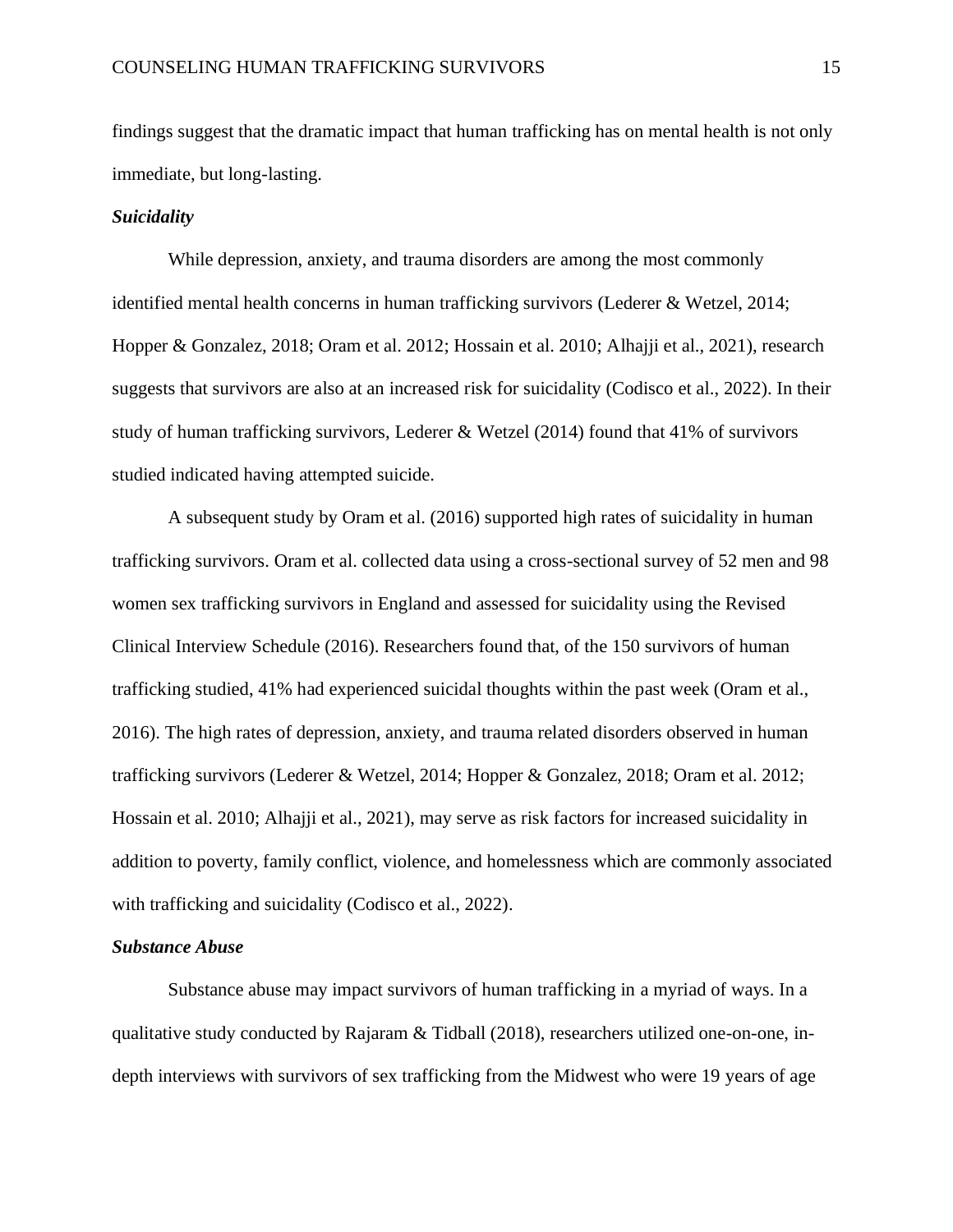findings suggest that the dramatic impact that human trafficking has on mental health is not only immediate, but long-lasting.

#### *Suicidality*

While depression, anxiety, and trauma disorders are among the most commonly identified mental health concerns in human trafficking survivors (Lederer & Wetzel, 2014; Hopper & Gonzalez, 2018; Oram et al. 2012; Hossain et al. 2010; Alhajji et al., 2021), research suggests that survivors are also at an increased risk for suicidality (Codisco et al., 2022). In their study of human trafficking survivors, Lederer & Wetzel (2014) found that 41% of survivors studied indicated having attempted suicide.

A subsequent study by Oram et al. (2016) supported high rates of suicidality in human trafficking survivors. Oram et al. collected data using a cross-sectional survey of 52 men and 98 women sex trafficking survivors in England and assessed for suicidality using the Revised Clinical Interview Schedule (2016). Researchers found that, of the 150 survivors of human trafficking studied, 41% had experienced suicidal thoughts within the past week (Oram et al., 2016). The high rates of depression, anxiety, and trauma related disorders observed in human trafficking survivors (Lederer & Wetzel, 2014; Hopper & Gonzalez, 2018; Oram et al. 2012; Hossain et al. 2010; Alhajji et al., 2021), may serve as risk factors for increased suicidality in addition to poverty, family conflict, violence, and homelessness which are commonly associated with trafficking and suicidality (Codisco et al., 2022).

#### *Substance Abuse*

Substance abuse may impact survivors of human trafficking in a myriad of ways. In a qualitative study conducted by Rajaram & Tidball (2018), researchers utilized one-on-one, indepth interviews with survivors of sex trafficking from the Midwest who were 19 years of age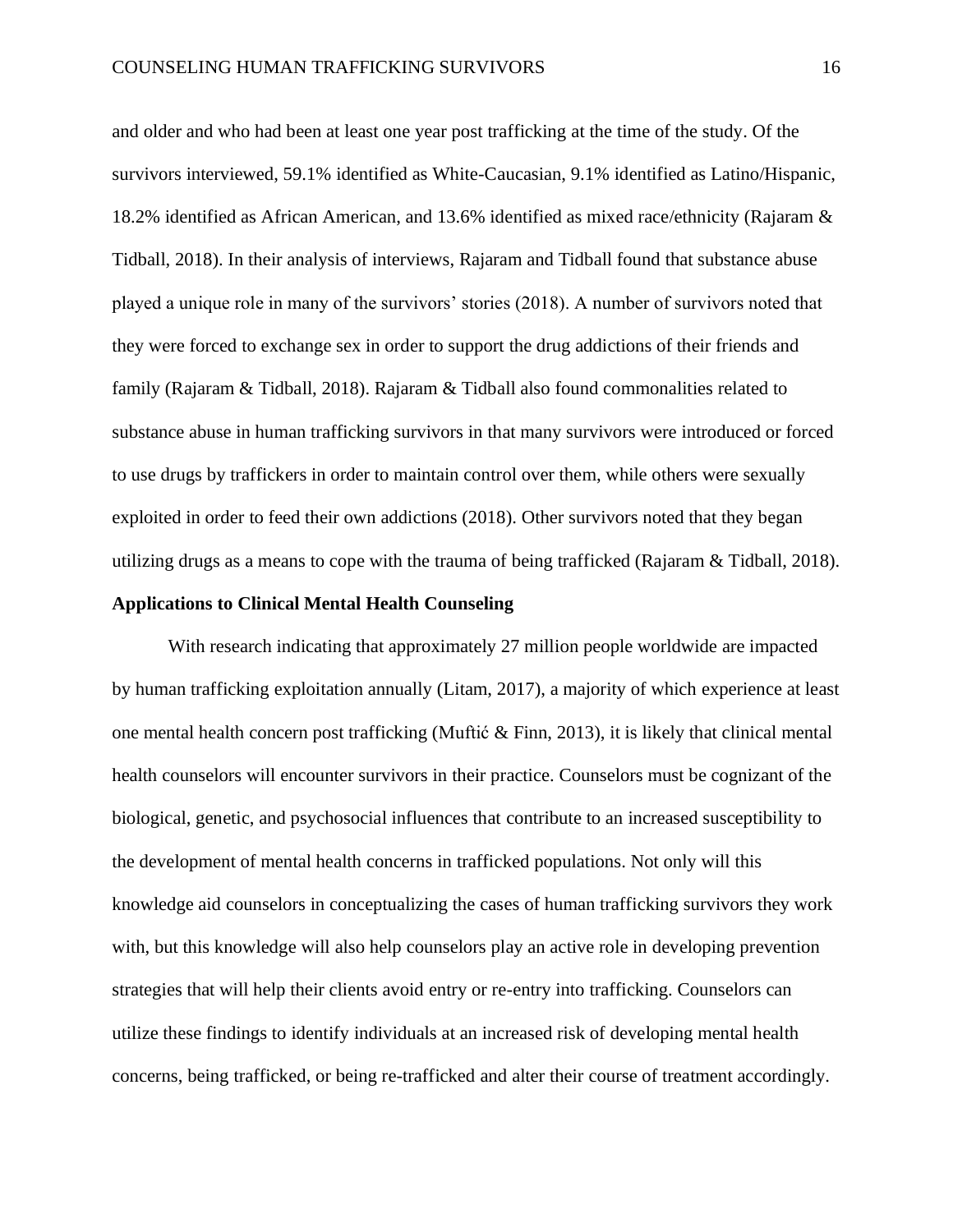and older and who had been at least one year post trafficking at the time of the study. Of the survivors interviewed, 59.1% identified as White-Caucasian, 9.1% identified as Latino/Hispanic, 18.2% identified as African American, and 13.6% identified as mixed race/ethnicity (Rajaram & Tidball, 2018). In their analysis of interviews, Rajaram and Tidball found that substance abuse played a unique role in many of the survivors' stories (2018). A number of survivors noted that they were forced to exchange sex in order to support the drug addictions of their friends and family (Rajaram & Tidball, 2018). Rajaram & Tidball also found commonalities related to substance abuse in human trafficking survivors in that many survivors were introduced or forced to use drugs by traffickers in order to maintain control over them, while others were sexually exploited in order to feed their own addictions (2018). Other survivors noted that they began utilizing drugs as a means to cope with the trauma of being trafficked (Rajaram & Tidball, 2018).

#### **Applications to Clinical Mental Health Counseling**

With research indicating that approximately 27 million people worldwide are impacted by human trafficking exploitation annually (Litam, 2017), a majority of which experience at least one mental health concern post trafficking (Muftić & Finn, 2013), it is likely that clinical mental health counselors will encounter survivors in their practice. Counselors must be cognizant of the biological, genetic, and psychosocial influences that contribute to an increased susceptibility to the development of mental health concerns in trafficked populations. Not only will this knowledge aid counselors in conceptualizing the cases of human trafficking survivors they work with, but this knowledge will also help counselors play an active role in developing prevention strategies that will help their clients avoid entry or re-entry into trafficking. Counselors can utilize these findings to identify individuals at an increased risk of developing mental health concerns, being trafficked, or being re-trafficked and alter their course of treatment accordingly.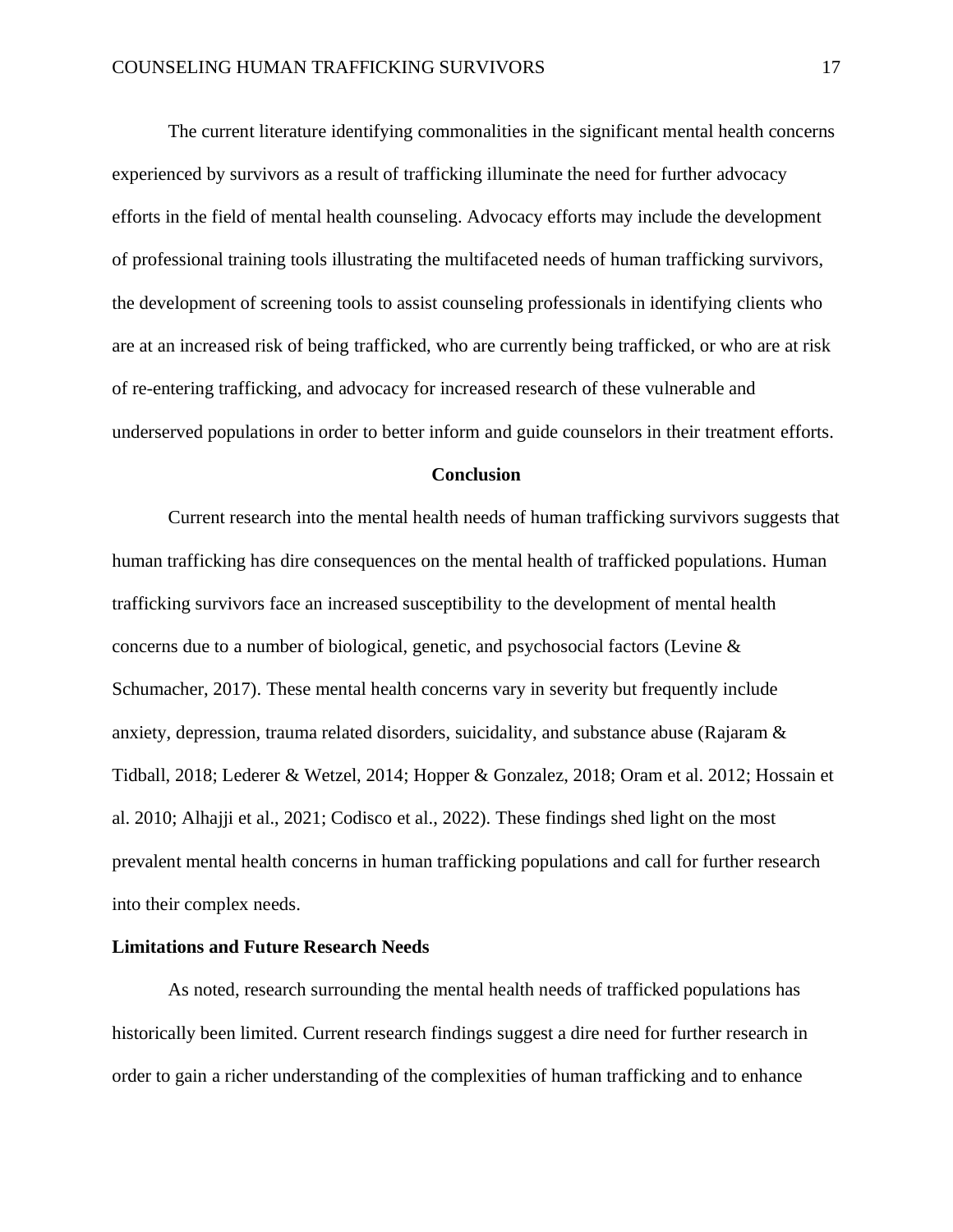The current literature identifying commonalities in the significant mental health concerns experienced by survivors as a result of trafficking illuminate the need for further advocacy efforts in the field of mental health counseling. Advocacy efforts may include the development of professional training tools illustrating the multifaceted needs of human trafficking survivors, the development of screening tools to assist counseling professionals in identifying clients who are at an increased risk of being trafficked, who are currently being trafficked, or who are at risk of re-entering trafficking, and advocacy for increased research of these vulnerable and underserved populations in order to better inform and guide counselors in their treatment efforts.

#### **Conclusion**

Current research into the mental health needs of human trafficking survivors suggests that human trafficking has dire consequences on the mental health of trafficked populations. Human trafficking survivors face an increased susceptibility to the development of mental health concerns due to a number of biological, genetic, and psychosocial factors (Levine & Schumacher, 2017). These mental health concerns vary in severity but frequently include anxiety, depression, trauma related disorders, suicidality, and substance abuse (Rajaram & Tidball, 2018; Lederer & Wetzel, 2014; Hopper & Gonzalez, 2018; Oram et al. 2012; Hossain et al. 2010; Alhajji et al., 2021; Codisco et al., 2022). These findings shed light on the most prevalent mental health concerns in human trafficking populations and call for further research into their complex needs.

#### **Limitations and Future Research Needs**

As noted, research surrounding the mental health needs of trafficked populations has historically been limited. Current research findings suggest a dire need for further research in order to gain a richer understanding of the complexities of human trafficking and to enhance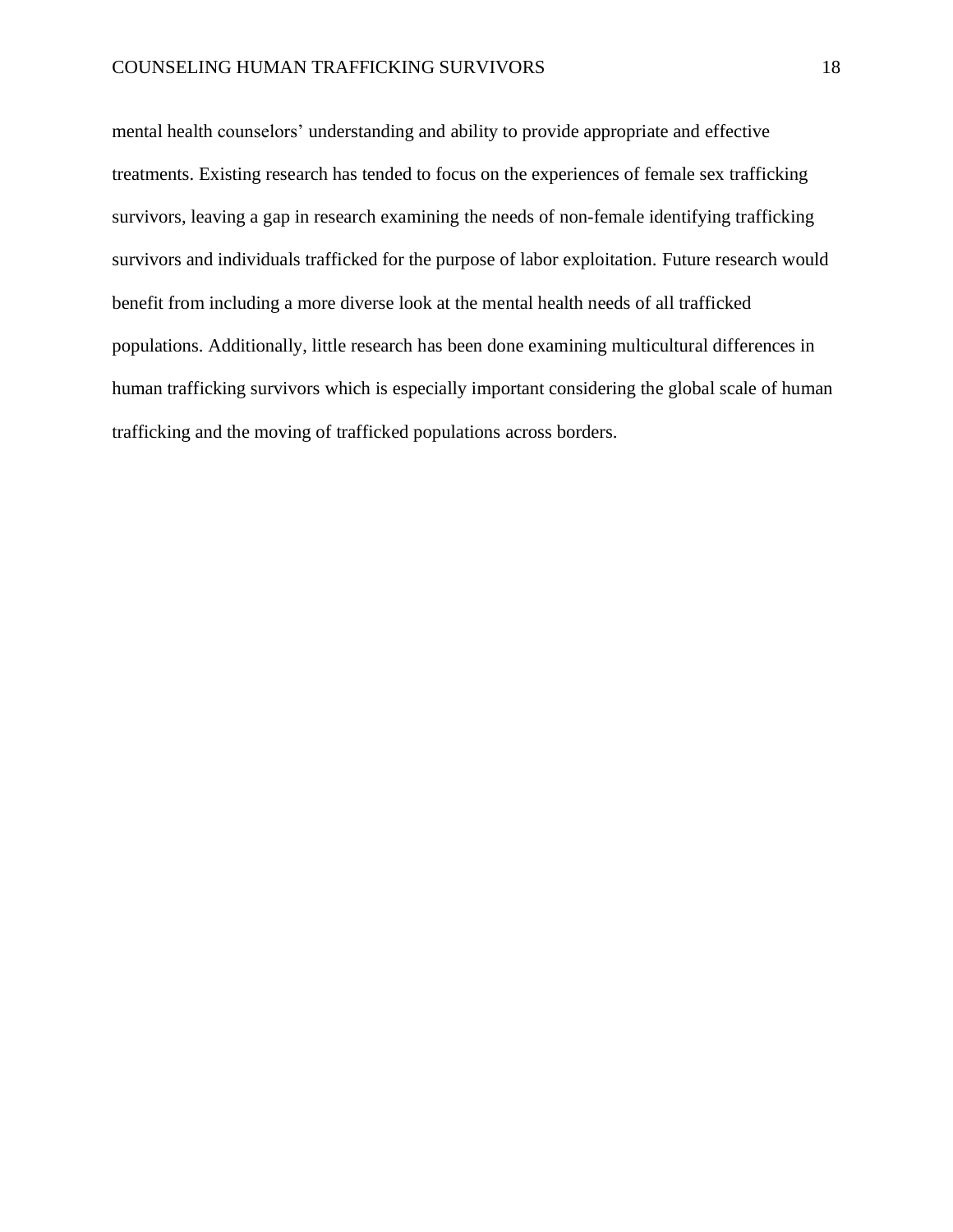mental health counselors' understanding and ability to provide appropriate and effective treatments. Existing research has tended to focus on the experiences of female sex trafficking survivors, leaving a gap in research examining the needs of non-female identifying trafficking survivors and individuals trafficked for the purpose of labor exploitation. Future research would benefit from including a more diverse look at the mental health needs of all trafficked populations. Additionally, little research has been done examining multicultural differences in human trafficking survivors which is especially important considering the global scale of human trafficking and the moving of trafficked populations across borders.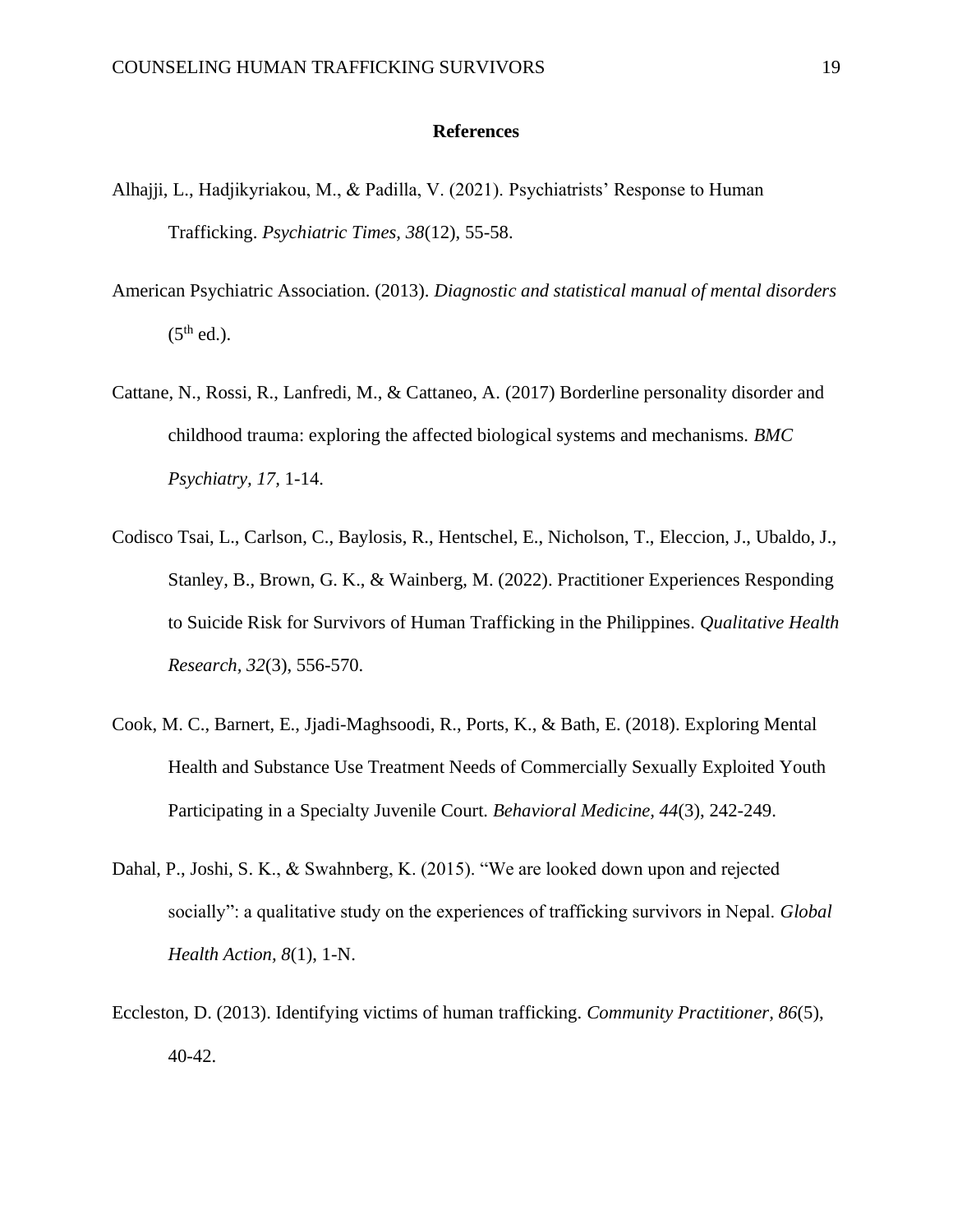#### **References**

- Alhajji, L., Hadjikyriakou, M., & Padilla, V. (2021). Psychiatrists' Response to Human Trafficking. *Psychiatric Times, 38*(12), 55-58.
- American Psychiatric Association. (2013). *Diagnostic and statistical manual of mental disorders*   $(5<sup>th</sup>$  ed.).
- Cattane, N., Rossi, R., Lanfredi, M., & Cattaneo, A. (2017) Borderline personality disorder and childhood trauma: exploring the affected biological systems and mechanisms. *BMC Psychiatry, 17,* 1-14.
- Codisco Tsai, L., Carlson, C., Baylosis, R., Hentschel, E., Nicholson, T., Eleccion, J., Ubaldo, J., Stanley, B., Brown, G. K., & Wainberg, M. (2022). Practitioner Experiences Responding to Suicide Risk for Survivors of Human Trafficking in the Philippines. *Qualitative Health Research, 32*(3), 556-570.
- Cook, M. C., Barnert, E., Jjadi-Maghsoodi, R., Ports, K., & Bath, E. (2018). Exploring Mental Health and Substance Use Treatment Needs of Commercially Sexually Exploited Youth Participating in a Specialty Juvenile Court. *Behavioral Medicine, 44*(3), 242-249.
- Dahal, P., Joshi, S. K., & Swahnberg, K. (2015). "We are looked down upon and rejected socially": a qualitative study on the experiences of trafficking survivors in Nepal. *Global Health Action, 8*(1), 1-N.
- Eccleston, D. (2013). Identifying victims of human trafficking. *Community Practitioner, 86*(5), 40-42.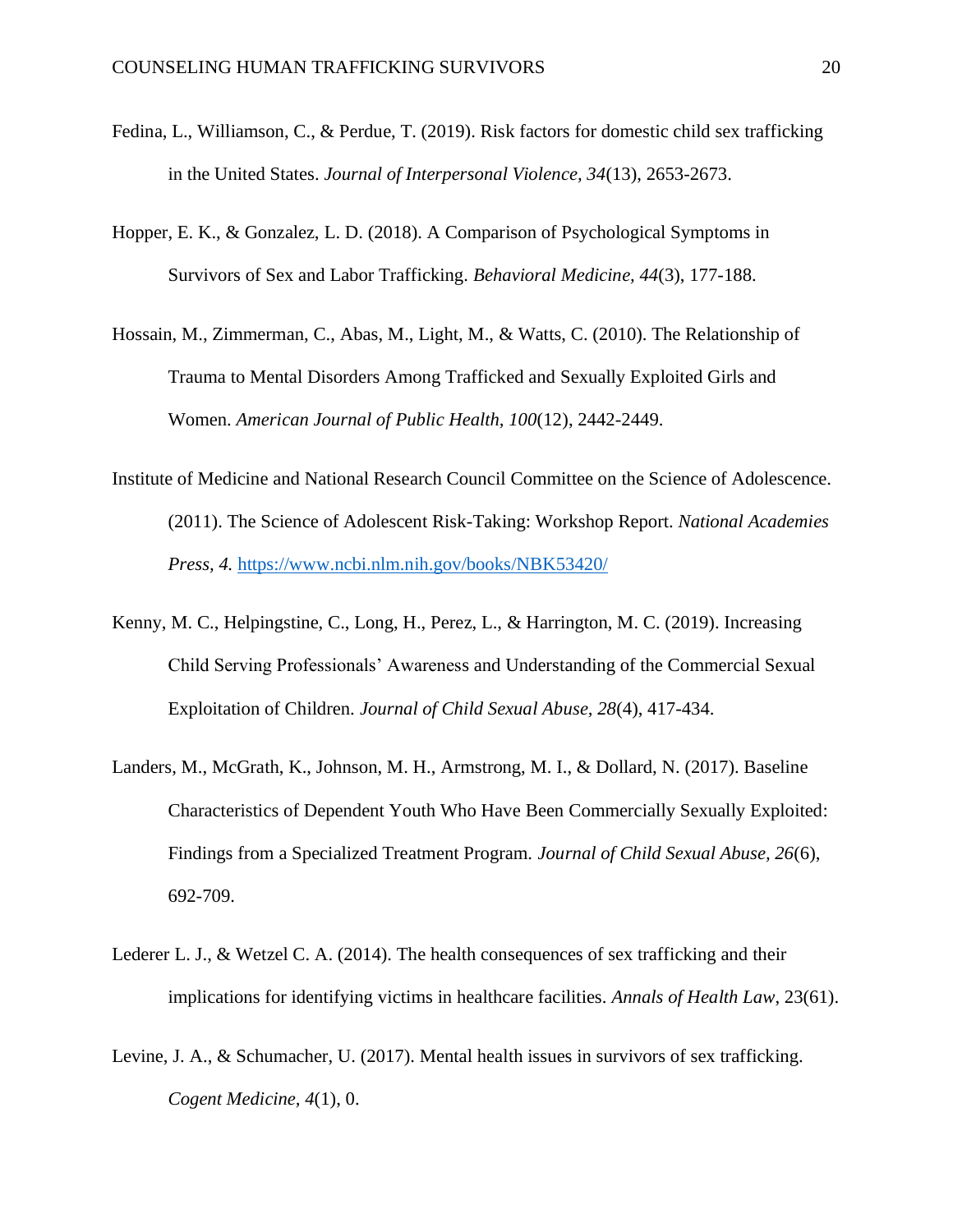- Fedina, L., Williamson, C., & Perdue, T. (2019). Risk factors for domestic child sex trafficking in the United States. *Journal of Interpersonal Violence, 34*(13), 2653-2673.
- Hopper, E. K., & Gonzalez, L. D. (2018). A Comparison of Psychological Symptoms in Survivors of Sex and Labor Trafficking. *Behavioral Medicine, 44*(3), 177-188.
- Hossain, M., Zimmerman, C., Abas, M., Light, M., & Watts, C. (2010). The Relationship of Trauma to Mental Disorders Among Trafficked and Sexually Exploited Girls and Women. *American Journal of Public Health, 100*(12), 2442-2449.
- Institute of Medicine and National Research Council Committee on the Science of Adolescence. (2011). The Science of Adolescent Risk-Taking: Workshop Report. *National Academies Press, 4.* <https://www.ncbi.nlm.nih.gov/books/NBK53420/>
- Kenny, M. C., Helpingstine, C., Long, H., Perez, L., & Harrington, M. C. (2019). Increasing Child Serving Professionals' Awareness and Understanding of the Commercial Sexual Exploitation of Children. *Journal of Child Sexual Abuse, 28*(4), 417-434.
- Landers, M., McGrath, K., Johnson, M. H., Armstrong, M. I., & Dollard, N. (2017). Baseline Characteristics of Dependent Youth Who Have Been Commercially Sexually Exploited: Findings from a Specialized Treatment Program. *Journal of Child Sexual Abuse, 26*(6), 692-709.
- Lederer L. J., & Wetzel C. A. (2014). The health consequences of sex trafficking and their implications for identifying victims in healthcare facilities. *Annals of Health Law*, 23(61).
- Levine, J. A., & Schumacher, U. (2017). Mental health issues in survivors of sex trafficking. *Cogent Medicine, 4*(1), 0.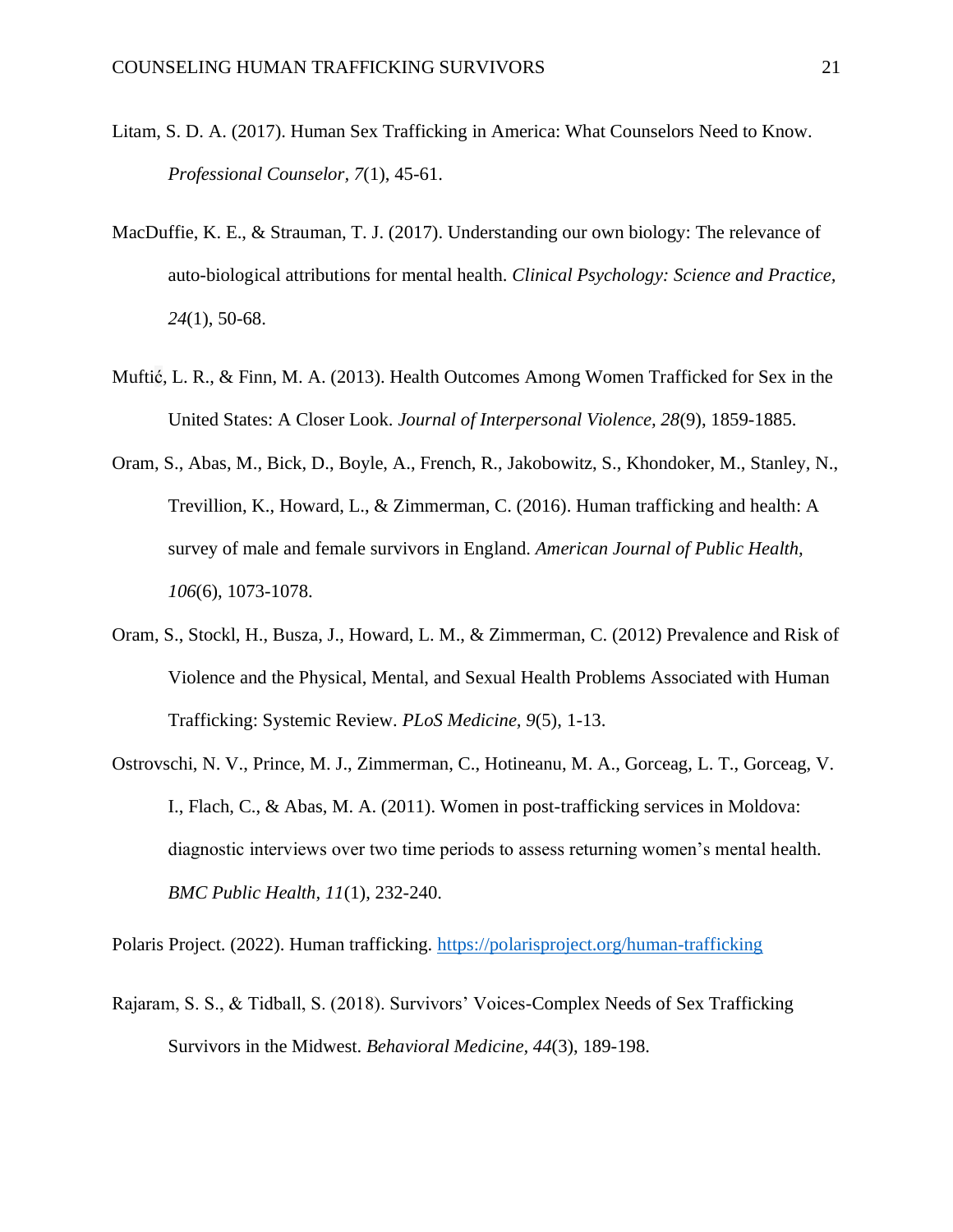- Litam, S. D. A. (2017). Human Sex Trafficking in America: What Counselors Need to Know. *Professional Counselor, 7*(1), 45-61.
- MacDuffie, K. E., & Strauman, T. J. (2017). Understanding our own biology: The relevance of auto-biological attributions for mental health. *Clinical Psychology: Science and Practice, 24*(1), 50-68.
- Muftić, L. R., & Finn, M. A. (2013). Health Outcomes Among Women Trafficked for Sex in the United States: A Closer Look. *Journal of Interpersonal Violence, 28*(9), 1859-1885.
- Oram, S., Abas, M., Bick, D., Boyle, A., French, R., Jakobowitz, S., Khondoker, M., Stanley, N., Trevillion, K., Howard, L., & Zimmerman, C. (2016). Human trafficking and health: A survey of male and female survivors in England. *American Journal of Public Health, 106*(6), 1073-1078.
- Oram, S., Stockl, H., Busza, J., Howard, L. M., & Zimmerman, C. (2012) Prevalence and Risk of Violence and the Physical, Mental, and Sexual Health Problems Associated with Human Trafficking: Systemic Review. *PLoS Medicine, 9*(5), 1-13.
- Ostrovschi, N. V., Prince, M. J., Zimmerman, C., Hotineanu, M. A., Gorceag, L. T., Gorceag, V. I., Flach, C., & Abas, M. A. (2011). Women in post-trafficking services in Moldova: diagnostic interviews over two time periods to assess returning women's mental health. *BMC Public Health, 11*(1), 232-240.

Polaris Project. (2022). Human trafficking.<https://polarisproject.org/human-trafficking>

Rajaram, S. S., & Tidball, S. (2018). Survivors' Voices-Complex Needs of Sex Trafficking Survivors in the Midwest. *Behavioral Medicine, 44*(3), 189-198.